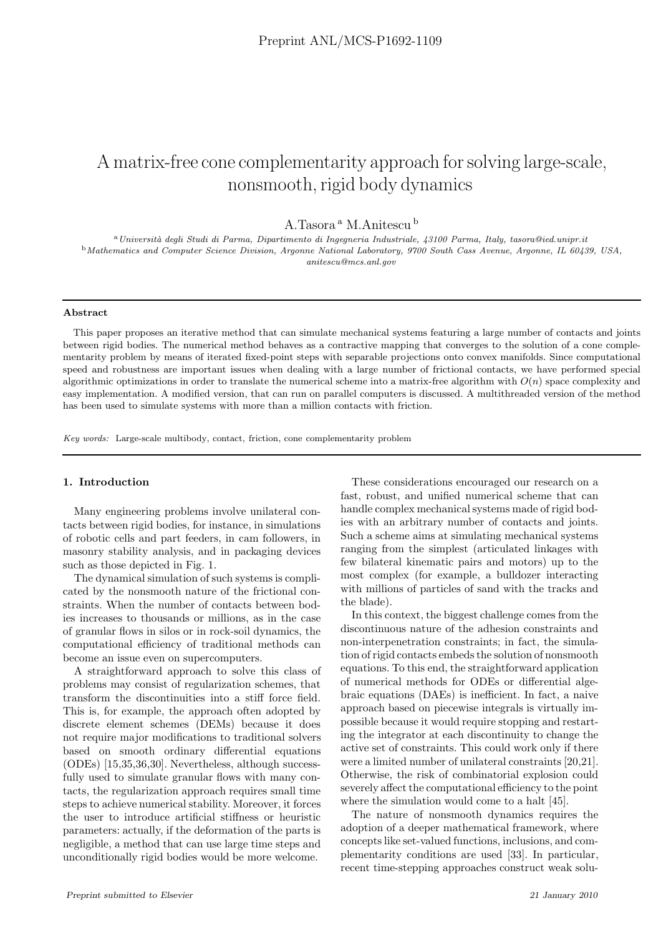# A matrix-free cone complementarity approach for solving large-scale, nonsmooth, rigid body dynamics

A.Tasora<sup>a</sup> M.Anitescu<sup>b</sup>

<sup>a</sup>*Universit`a degli Studi di Parma, Dipartimento di Ingegneria Industriale, 43100 Parma, Italy, tasora@ied.unipr.it* <sup>b</sup>*Mathematics and Computer Science Division, Argonne National Laboratory, 9700 South Cass Avenue, Argonne, IL 60439, USA, anitescu@mcs.anl.gov*

## Abstract

This paper proposes an iterative method that can simulate mechanical systems featuring a large number of contacts and joints between rigid bodies. The numerical method behaves as a contractive mapping that converges to the solution of a cone complementarity problem by means of iterated fixed-point steps with separable projections onto convex manifolds. Since computational speed and robustness are important issues when dealing with a large number of frictional contacts, we have performed special algorithmic optimizations in order to translate the numerical scheme into a matrix-free algorithm with  $O(n)$  space complexity and easy implementation. A modified version, that can run on parallel computers is discussed. A multithreaded version of the method has been used to simulate systems with more than a million contacts with friction.

*Key words:* Large-scale multibody, contact, friction, cone complementarity problem

# 1. Introduction

Many engineering problems involve unilateral contacts between rigid bodies, for instance, in simulations of robotic cells and part feeders, in cam followers, in masonry stability analysis, and in packaging devices such as those depicted in Fig. 1.

The dynamical simulation of such systems is complicated by the nonsmooth nature of the frictional constraints. When the number of contacts between bodies increases to thousands or millions, as in the case of granular flows in silos or in rock-soil dynamics, the computational efficiency of traditional methods can become an issue even on supercomputers.

A straightforward approach to solve this class of problems may consist of regularization schemes, that transform the discontinuities into a stiff force field. This is, for example, the approach often adopted by discrete element schemes (DEMs) because it does not require major modifications to traditional solvers based on smooth ordinary differential equations (ODEs) [15,35,36,30]. Nevertheless, although successfully used to simulate granular flows with many contacts, the regularization approach requires small time steps to achieve numerical stability. Moreover, it forces the user to introduce artificial stiffness or heuristic parameters: actually, if the deformation of the parts is negligible, a method that can use large time steps and unconditionally rigid bodies would be more welcome.

These considerations encouraged our research on a fast, robust, and unified numerical scheme that can handle complex mechanical systems made of rigid bodies with an arbitrary number of contacts and joints. Such a scheme aims at simulating mechanical systems ranging from the simplest (articulated linkages with few bilateral kinematic pairs and motors) up to the most complex (for example, a bulldozer interacting with millions of particles of sand with the tracks and the blade).

In this context, the biggest challenge comes from the discontinuous nature of the adhesion constraints and non-interpenetration constraints; in fact, the simulation of rigid contacts embeds the solution of nonsmooth equations. To this end, the straightforward application of numerical methods for ODEs or differential algebraic equations (DAEs) is inefficient. In fact, a naive approach based on piecewise integrals is virtually impossible because it would require stopping and restarting the integrator at each discontinuity to change the active set of constraints. This could work only if there were a limited number of unilateral constraints [20,21]. Otherwise, the risk of combinatorial explosion could severely affect the computational efficiency to the point where the simulation would come to a halt [45].

The nature of nonsmooth dynamics requires the adoption of a deeper mathematical framework, where concepts like set-valued functions, inclusions, and complementarity conditions are used [33]. In particular, recent time-stepping approaches construct weak solu-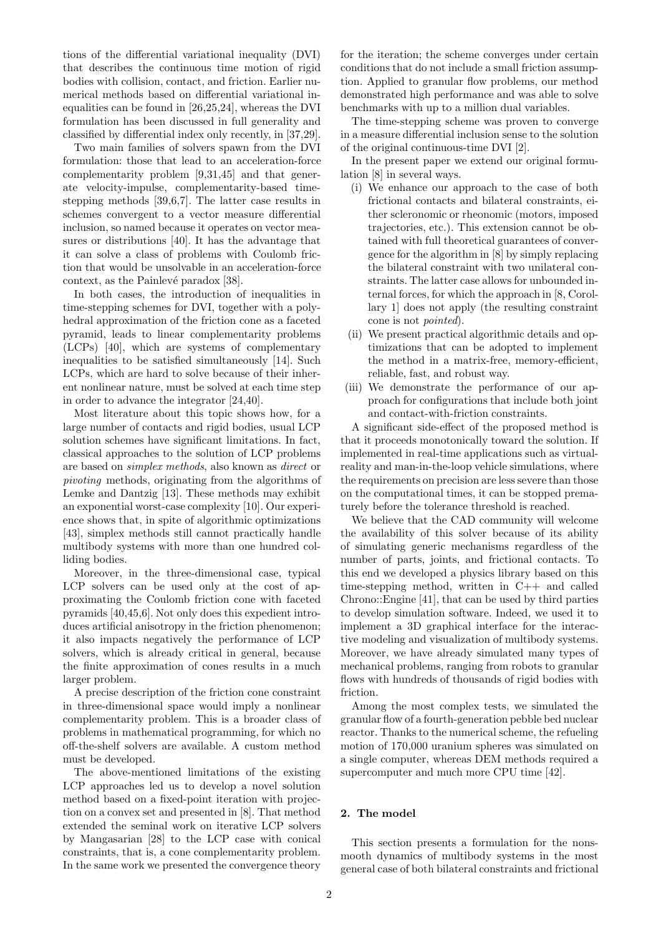tions of the differential variational inequality (DVI) that describes the continuous time motion of rigid bodies with collision, contact, and friction. Earlier numerical methods based on differential variational inequalities can be found in [26,25,24], whereas the DVI formulation has been discussed in full generality and classified by differential index only recently, in [37,29].

Two main families of solvers spawn from the DVI formulation: those that lead to an acceleration-force complementarity problem [9,31,45] and that generate velocity-impulse, complementarity-based timestepping methods [39,6,7]. The latter case results in schemes convergent to a vector measure differential inclusion, so named because it operates on vector measures or distributions [40]. It has the advantage that it can solve a class of problems with Coulomb friction that would be unsolvable in an acceleration-force context, as the Painlevé paradox [38].

In both cases, the introduction of inequalities in time-stepping schemes for DVI, together with a polyhedral approximation of the friction cone as a faceted pyramid, leads to linear complementarity problems (LCPs) [40], which are systems of complementary inequalities to be satisfied simultaneously [14]. Such LCPs, which are hard to solve because of their inherent nonlinear nature, must be solved at each time step in order to advance the integrator [24,40].

Most literature about this topic shows how, for a large number of contacts and rigid bodies, usual LCP solution schemes have significant limitations. In fact, classical approaches to the solution of LCP problems are based on simplex methods, also known as direct or pivoting methods, originating from the algorithms of Lemke and Dantzig [13]. These methods may exhibit an exponential worst-case complexity [10]. Our experience shows that, in spite of algorithmic optimizations [43], simplex methods still cannot practically handle multibody systems with more than one hundred colliding bodies.

Moreover, in the three-dimensional case, typical LCP solvers can be used only at the cost of approximating the Coulomb friction cone with faceted pyramids [40,45,6]. Not only does this expedient introduces artificial anisotropy in the friction phenomenon; it also impacts negatively the performance of LCP solvers, which is already critical in general, because the finite approximation of cones results in a much larger problem.

A precise description of the friction cone constraint in three-dimensional space would imply a nonlinear complementarity problem. This is a broader class of problems in mathematical programming, for which no off-the-shelf solvers are available. A custom method must be developed.

The above-mentioned limitations of the existing LCP approaches led us to develop a novel solution method based on a fixed-point iteration with projection on a convex set and presented in [8]. That method extended the seminal work on iterative LCP solvers by Mangasarian [28] to the LCP case with conical constraints, that is, a cone complementarity problem. In the same work we presented the convergence theory

for the iteration; the scheme converges under certain conditions that do not include a small friction assumption. Applied to granular flow problems, our method demonstrated high performance and was able to solve benchmarks with up to a million dual variables.

The time-stepping scheme was proven to converge in a measure differential inclusion sense to the solution of the original continuous-time DVI [2].

In the present paper we extend our original formulation [8] in several ways.

- (i) We enhance our approach to the case of both frictional contacts and bilateral constraints, either scleronomic or rheonomic (motors, imposed trajectories, etc.). This extension cannot be obtained with full theoretical guarantees of convergence for the algorithm in [8] by simply replacing the bilateral constraint with two unilateral constraints. The latter case allows for unbounded internal forces, for which the approach in [8, Corollary 1] does not apply (the resulting constraint cone is not pointed).
- (ii) We present practical algorithmic details and optimizations that can be adopted to implement the method in a matrix-free, memory-efficient, reliable, fast, and robust way.
- (iii) We demonstrate the performance of our approach for configurations that include both joint and contact-with-friction constraints.

A significant side-effect of the proposed method is that it proceeds monotonically toward the solution. If implemented in real-time applications such as virtualreality and man-in-the-loop vehicle simulations, where the requirements on precision are less severe than those on the computational times, it can be stopped prematurely before the tolerance threshold is reached.

We believe that the CAD community will welcome the availability of this solver because of its ability of simulating generic mechanisms regardless of the number of parts, joints, and frictional contacts. To this end we developed a physics library based on this time-stepping method, written in C++ and called Chrono::Engine [41], that can be used by third parties to develop simulation software. Indeed, we used it to implement a 3D graphical interface for the interactive modeling and visualization of multibody systems. Moreover, we have already simulated many types of mechanical problems, ranging from robots to granular flows with hundreds of thousands of rigid bodies with friction.

Among the most complex tests, we simulated the granular flow of a fourth-generation pebble bed nuclear reactor. Thanks to the numerical scheme, the refueling motion of 170,000 uranium spheres was simulated on a single computer, whereas DEM methods required a supercomputer and much more CPU time [42].

#### 2. The model

This section presents a formulation for the nonsmooth dynamics of multibody systems in the most general case of both bilateral constraints and frictional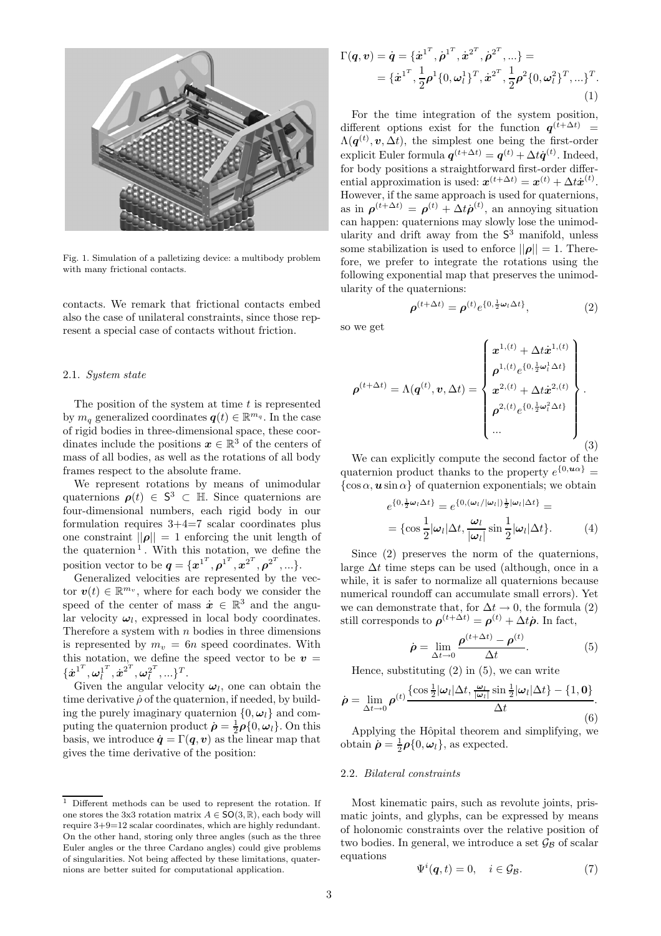

Fig. 1. Simulation of a palletizing device: a multibody problem with many frictional contacts.

contacts. We remark that frictional contacts embed also the case of unilateral constraints, since those represent a special case of contacts without friction.

## 2.1. System state

The position of the system at time  $t$  is represented by  $m_q$  generalized coordinates  $q(t) \in \mathbb{R}^{m_q}$ . In the case of rigid bodies in three-dimensional space, these coordinates include the positions  $x \in \mathbb{R}^3$  of the centers of mass of all bodies, as well as the rotations of all body frames respect to the absolute frame.

We represent rotations by means of unimodular quaternions  $\rho(t) \in S^3 \subset \mathbb{H}$ . Since quaternions are four-dimensional numbers, each rigid body in our formulation requires  $3+4=7$  scalar coordinates plus one constraint  $||\rho|| = 1$  enforcing the unit length of the quaternion<sup>1</sup>. With this notation, we define the position vector to be  $q = \{x^{1^T}, \rho^{1^T}, x^{2^T}, \rho^{2^T}, ...\}.$ 

Generalized velocities are represented by the vector  $\boldsymbol{v}(t) \in \mathbb{R}^{m_v}$ , where for each body we consider the speed of the center of mass  $\dot{x} \in \mathbb{R}^3$  and the angular velocity  $\omega_l$ , expressed in local body coordinates. Therefore a system with  $n$  bodies in three dimensions is represented by  $m_v = 6n$  speed coordinates. With this notation, we define the speed vector to be  $v =$  $\{\dot{\boldsymbol{x}}^{1^T}, {\boldsymbol{\omega}_l^1}^T$  $\overline{\dot{u}}^T,\dot{\boldsymbol{x}}^{2^T},\boldsymbol{\omega}_l^{2^T}$  $\begin{bmatrix} 2^I \\ I \end{bmatrix}$ , ... }<sup>T</sup>.

Given the angular velocity  $\omega_l$ , one can obtain the time derivative  $\rho$  of the quaternion, if needed, by building the purely imaginary quaternion  $\{0, \omega_l\}$  and computing the quaternion product  $\dot{\rho} = \frac{1}{2}\rho\{0, \omega_l\}$ . On this basis, we introduce  $\dot{\mathbf{q}} = \Gamma(\mathbf{q}, \mathbf{v})$  as the linear map that gives the time derivative of the position:

$$
\Gamma(\boldsymbol{q}, \boldsymbol{v}) = \dot{\boldsymbol{q}} = \{\dot{\boldsymbol{x}}^{1^T}, \dot{\boldsymbol{\rho}}^{1^T}, \dot{\boldsymbol{x}}^{2^T}, \dot{\boldsymbol{\rho}}^{2^T}, \ldots\} = \n\{ \dot{\boldsymbol{x}}^{1^T}, \frac{1}{2} \boldsymbol{\rho}^1 \{0, \omega_l^1\}^T, \dot{\boldsymbol{x}}^{2^T}, \frac{1}{2} \boldsymbol{\rho}^2 \{0, \omega_l^2\}^T, \ldots\}^T.
$$
\n(1)

For the time integration of the system position, different options exist for the function  $q^{(t+\Delta t)}$  =  $\Lambda(\boldsymbol{q}^{(t)}, v, \Delta t)$ , the simplest one being the first-order explicit Euler formula  $\boldsymbol{q}^{(t+\Delta t)} = \boldsymbol{q}^{(t)} + \Delta t \dot{\boldsymbol{q}}^{(t)}$ . Indeed, for body positions a straightforward first-order differential approximation is used:  $x^{(t+\Delta t)} = x^{(t)} + \Delta t \dot{x}^{(t)}$ . However, if the same approach is used for quaternions, as in  $\rho^{(t+\Delta t)} = \rho^{(t)} + \Delta t \dot{\rho}^{(t)}$ , an annoying situation can happen: quaternions may slowly lose the unimodularity and drift away from the S <sup>3</sup> manifold, unless some stabilization is used to enforce  $||\rho|| = 1$ . Therefore, we prefer to integrate the rotations using the following exponential map that preserves the unimodularity of the quaternions:

$$
\boldsymbol{\rho}^{(t+\Delta t)} = \boldsymbol{\rho}^{(t)} e^{\{0, \frac{1}{2}\boldsymbol{\omega}_l \Delta t\}},\tag{2}
$$

so we get

$$
\rho^{(t+\Delta t)} = \Lambda(\boldsymbol{q}^{(t)}, \boldsymbol{v}, \Delta t) = \begin{Bmatrix} x^{1,(t)} + \Delta t \dot{x}^{1,(t)} \\ \rho^{1,(t)} e^{\{0, \frac{1}{2} \omega_t^1 \Delta t\}} \\ x^{2,(t)} + \Delta t \dot{x}^{2,(t)} \\ \rho^{2,(t)} e^{\{0, \frac{1}{2} \omega_t^2 \Delta t\}} \\ \dots \end{Bmatrix}.
$$
\n(3)

We can explicitly compute the second factor of the quaternion product thanks to the property  $e^{\{0,u\alpha\}} =$  $\{\cos \alpha, \bm{u} \sin \alpha\}$  of quaternion exponentials; we obtain

$$
e^{\{0, \frac{1}{2}\omega_l \Delta t\}} = e^{\{0, \langle \omega_l / |\omega_l| \} \frac{1}{2} |\omega_l| \Delta t\}} =
$$

$$
= \{\cos \frac{1}{2} |\omega_l| \Delta t, \frac{\omega_l}{|\omega_l|} \sin \frac{1}{2} |\omega_l| \Delta t\}. \tag{4}
$$

Since (2) preserves the norm of the quaternions, large  $\Delta t$  time steps can be used (although, once in a while, it is safer to normalize all quaternions because numerical roundoff can accumulate small errors). Yet we can demonstrate that, for  $\Delta t \to 0$ , the formula (2) still corresponds to  $\rho^{(t+\Delta t)} = \rho^{(t)} + \Delta t \dot{\rho}$ . In fact,

$$
\dot{\rho} = \lim_{\Delta t \to 0} \frac{\rho^{(t + \Delta t)} - \rho^{(t)}}{\Delta t}.
$$
 (5)

Hence, substituting  $(2)$  in  $(5)$ , we can write

$$
\dot{\rho} = \lim_{\Delta t \to 0} \rho^{(t)} \frac{\left\{ \cos \frac{1}{2} |\omega_l| \Delta t, \frac{\omega_l}{|\omega_l|} \sin \frac{1}{2} |\omega_l| \Delta t \right\} - \left\{ 1, 0 \right\}}{\Delta t}.
$$
\n(6)

Applying the Hôpital theorem and simplifying, we obtain  $\dot{\rho} = \frac{1}{2}\rho\{0, \omega_l\}$ , as expected.

## 2.2. Bilateral constraints

Most kinematic pairs, such as revolute joints, prismatic joints, and glyphs, can be expressed by means of holonomic constraints over the relative position of two bodies. In general, we introduce a set  $\mathcal{G}_{\mathcal{B}}$  of scalar equations

$$
\Psi^{i}(\boldsymbol{q},t) = 0, \quad i \in \mathcal{G}_{\mathcal{B}}.\tag{7}
$$

 $^{\rm 1}$  Different methods can be used to represent the rotation. If one stores the 3x3 rotation matrix  $A \in \mathsf{SO}(3,\mathbb{R})$ , each body will require 3+9=12 scalar coordinates, which are highly redundant. On the other hand, storing only three angles (such as the three Euler angles or the three Cardano angles) could give problems of singularities. Not being affected by these limitations, quaternions are better suited for computational application.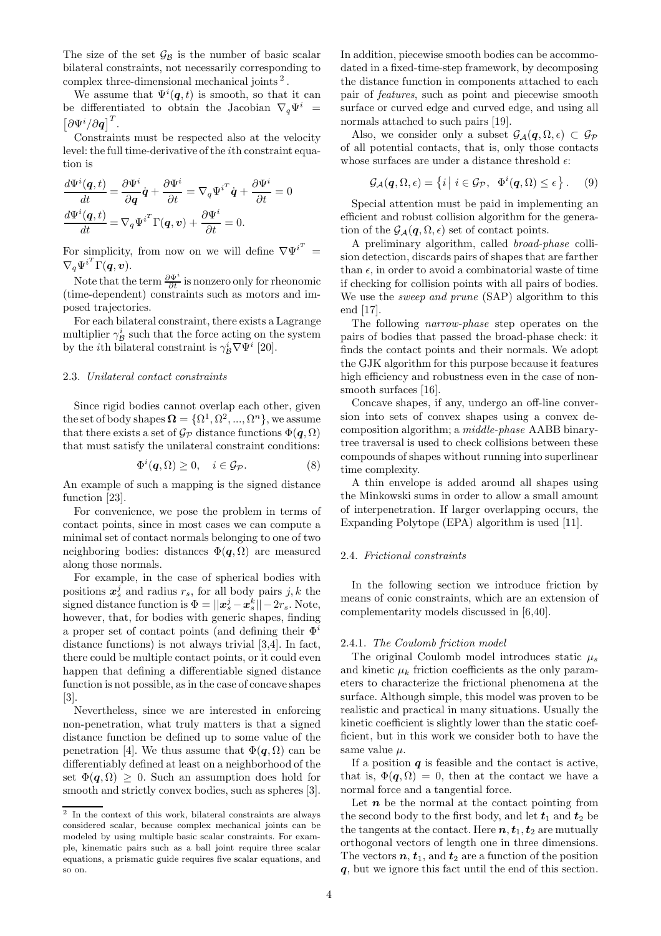The size of the set  $\mathcal{G}_{\mathcal{B}}$  is the number of basic scalar bilateral constraints, not necessarily corresponding to complex three-dimensional mechanical joints<sup>2</sup>.

We assume that  $\Psi^i(q,t)$  is smooth, so that it can be differentiated to obtain the Jacobian  $\nabla_q \Psi^i$  =  $\left[\partial \Psi^i/\partial \bm{q}\right]^T$ .

Constraints must be respected also at the velocity level: the full time-derivative of the ith constraint equation is

$$
\frac{d\Psi^{i}(\mathbf{q},t)}{dt} = \frac{\partial \Psi^{i}}{\partial \mathbf{q}}\dot{\mathbf{q}} + \frac{\partial \Psi^{i}}{\partial t} = \nabla_{q}\Psi^{i^{T}}\dot{\mathbf{q}} + \frac{\partial \Psi^{i}}{\partial t} = 0
$$

$$
\frac{d\Psi^{i}(\mathbf{q},t)}{dt} = \nabla_{q}\Psi^{i^{T}}\Gamma(\mathbf{q},\mathbf{v}) + \frac{\partial \Psi^{i}}{\partial t} = 0.
$$

For simplicity, from now on we will define  $\nabla \Psi^{i^T} =$  $\nabla_q \Psi^{i^T} \Gamma(\boldsymbol{q},\boldsymbol{v}).$ 

Note that the term  $\frac{\partial \Psi^i}{\partial t}$  is nonzero only for rheonomic (time-dependent) constraints such as motors and imposed trajectories.

For each bilateral constraint, there exists a Lagrange multiplier  $\gamma^i_{\mathcal{B}}$  such that the force acting on the system by the *i*th bilateral constraint is  $\gamma_B^i \nabla \Psi^i$  [20].

#### 2.3. Unilateral contact constraints

Since rigid bodies cannot overlap each other, given the set of body shapes  $\mathbf{\Omega} = \{\Omega^1, \Omega^2, ..., \Omega^n\}$ , we assume that there exists a set of  $\mathcal{G}_{\mathcal{P}}$  distance functions  $\Phi(\mathbf{q},\Omega)$ that must satisfy the unilateral constraint conditions:

$$
\Phi^i(\mathbf{q},\Omega) \ge 0, \quad i \in \mathcal{G}_{\mathcal{P}}.\tag{8}
$$

An example of such a mapping is the signed distance function [23].

For convenience, we pose the problem in terms of contact points, since in most cases we can compute a minimal set of contact normals belonging to one of two neighboring bodies: distances  $\Phi(q, \Omega)$  are measured along those normals.

For example, in the case of spherical bodies with positions  $x_s^j$  and radius  $r_s$ , for all body pairs  $j, k$  the signed distance function is  $\Phi = ||\boldsymbol{x}_s^j - \boldsymbol{x}_s^k|| - 2r_s$ . Note, however, that, for bodies with generic shapes, finding a proper set of contact points (and defining their  $\Phi^i$ distance functions) is not always trivial [3,4]. In fact, there could be multiple contact points, or it could even happen that defining a differentiable signed distance function is not possible, as in the case of concave shapes [3].

Nevertheless, since we are interested in enforcing non-penetration, what truly matters is that a signed distance function be defined up to some value of the penetration [4]. We thus assume that  $\Phi(q, \Omega)$  can be differentiably defined at least on a neighborhood of the set  $\Phi(q, \Omega) \geq 0$ . Such an assumption does hold for smooth and strictly convex bodies, such as spheres [3].

In addition, piecewise smooth bodies can be accommodated in a fixed-time-step framework, by decomposing the distance function in components attached to each pair of features, such as point and piecewise smooth surface or curved edge and curved edge, and using all normals attached to such pairs [19].

Also, we consider only a subset  $\mathcal{G}_{\mathcal{A}}(\mathbf{q},\Omega,\epsilon) \subset \mathcal{G}_{\mathcal{P}}$ of all potential contacts, that is, only those contacts whose surfaces are under a distance threshold  $\epsilon$ :

$$
\mathcal{G}_{\mathcal{A}}(\boldsymbol{q},\Omega,\epsilon) = \{i \mid i \in \mathcal{G}_{\mathcal{P}}, \ \Phi^{i}(\boldsymbol{q},\Omega) \leq \epsilon \}.
$$
 (9)

Special attention must be paid in implementing an efficient and robust collision algorithm for the generation of the  $\mathcal{G}_{\mathcal{A}}(\mathbf{q},\Omega,\epsilon)$  set of contact points.

A preliminary algorithm, called broad-phase collision detection, discards pairs of shapes that are farther than  $\epsilon$ , in order to avoid a combinatorial waste of time if checking for collision points with all pairs of bodies. We use the *sweep and prune* (SAP) algorithm to this end [17].

The following narrow-phase step operates on the pairs of bodies that passed the broad-phase check: it finds the contact points and their normals. We adopt the GJK algorithm for this purpose because it features high efficiency and robustness even in the case of nonsmooth surfaces [16].

Concave shapes, if any, undergo an off-line conversion into sets of convex shapes using a convex decomposition algorithm; a middle-phase AABB binarytree traversal is used to check collisions between these compounds of shapes without running into superlinear time complexity.

A thin envelope is added around all shapes using the Minkowski sums in order to allow a small amount of interpenetration. If larger overlapping occurs, the Expanding Polytope (EPA) algorithm is used [11].

## 2.4. Frictional constraints

In the following section we introduce friction by means of conic constraints, which are an extension of complementarity models discussed in [6,40].

#### 2.4.1. The Coulomb friction model

The original Coulomb model introduces static  $\mu_s$ and kinetic  $\mu_k$  friction coefficients as the only parameters to characterize the frictional phenomena at the surface. Although simple, this model was proven to be realistic and practical in many situations. Usually the kinetic coefficient is slightly lower than the static coefficient, but in this work we consider both to have the same value  $\mu$ .

If a position  $q$  is feasible and the contact is active, that is,  $\Phi(q, \Omega) = 0$ , then at the contact we have a normal force and a tangential force.

Let  $n$  be the normal at the contact pointing from the second body to the first body, and let  $t_1$  and  $t_2$  be the tangents at the contact. Here  $n, t_1, t_2$  are mutually orthogonal vectors of length one in three dimensions. The vectors  $n, t_1$ , and  $t_2$  are a function of the position q, but we ignore this fact until the end of this section.

<sup>2</sup> In the context of this work, bilateral constraints are always considered scalar, because complex mechanical joints can be modeled by using multiple basic scalar constraints. For example, kinematic pairs such as a ball joint require three scalar equations, a prismatic guide requires five scalar equations, and so on.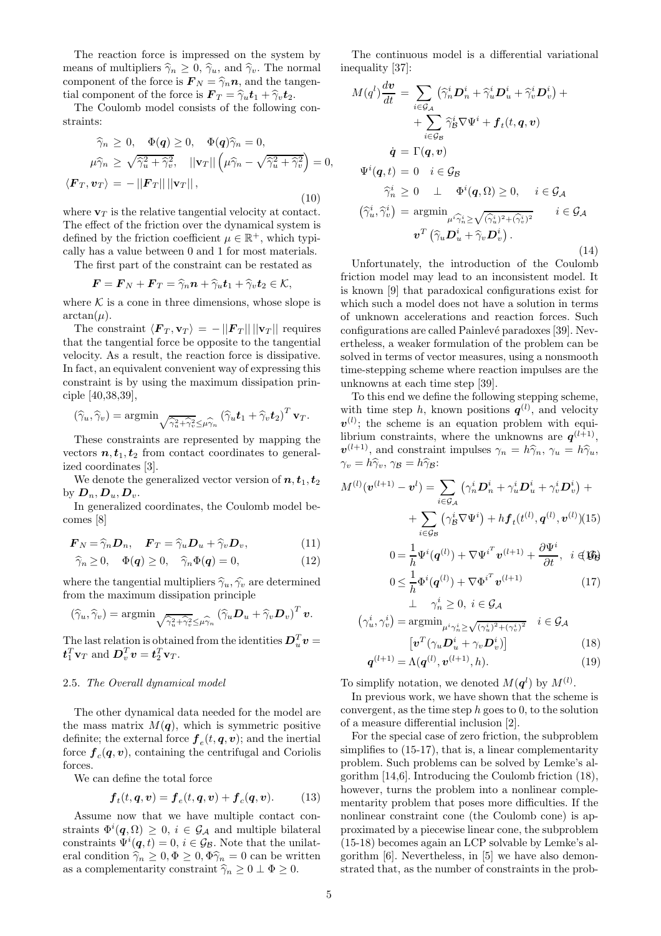The reaction force is impressed on the system by means of multipliers  $\hat{\gamma}_n \geq 0$ ,  $\hat{\gamma}_u$ , and  $\hat{\gamma}_v$ . The normal component of the force is  $\mathbf{F}_N = \hat{\gamma}_n \mathbf{n}$ , and the tangential component of the force is  $\mathbf{F}_T = \hat{\gamma}_u \mathbf{t}_1 + \hat{\gamma}_v \mathbf{t}_2$ .

The Coulomb model consists of the following constraints:

$$
\widehat{\gamma}_n \ge 0, \quad \Phi(q) \ge 0, \quad \Phi(q)\widehat{\gamma}_n = 0,
$$
  

$$
\mu \widehat{\gamma}_n \ge \sqrt{\widehat{\gamma}_u^2 + \widehat{\gamma}_v^2}, \quad ||\mathbf{v}_T|| \left(\mu \widehat{\gamma}_n - \sqrt{\widehat{\gamma}_u^2 + \widehat{\gamma}_v^2}\right) = 0,
$$
  

$$
\langle \mathbf{F}_T, \mathbf{v}_T \rangle = -||\mathbf{F}_T|| ||\mathbf{v}_T||,
$$
  
(10)

where  $\mathbf{v}_T$  is the relative tangential velocity at contact. The effect of the friction over the dynamical system is defined by the friction coefficient  $\mu \in \mathbb{R}^+$ , which typically has a value between 0 and 1 for most materials.

The first part of the constraint can be restated as

$$
\boldsymbol{F} = \boldsymbol{F}_N + \boldsymbol{F}_T = \widehat{\gamma}_n \boldsymbol{n} + \widehat{\gamma}_u \boldsymbol{t}_1 + \widehat{\gamma}_v \boldsymbol{t}_2 \in \mathcal{K},
$$

where  $K$  is a cone in three dimensions, whose slope is  $arctan(\mu)$ .

The constraint  $\langle \mathbf{F}_T , \mathbf{v}_T \rangle = - ||\mathbf{F}_T || ||\mathbf{v}_T ||$  requires that the tangential force be opposite to the tangential velocity. As a result, the reaction force is dissipative. In fact, an equivalent convenient way of expressing this constraint is by using the maximum dissipation principle [40,38,39],

$$
(\widehat{\gamma}_u, \widehat{\gamma}_v) = \operatorname{argmin}_{\sqrt{\widehat{\gamma}_u^2 + \widehat{\gamma}_v^2} \leq \mu \widehat{\gamma}_n} (\widehat{\gamma}_u \boldsymbol{t}_1 + \widehat{\gamma}_v \boldsymbol{t}_2)^T \mathbf{v}_T.
$$

These constraints are represented by mapping the vectors  $n, t_1, t_2$  from contact coordinates to generalized coordinates [3].

We denote the generalized vector version of  $n, t_1, t_2$ by  $\mathbf{D}_n$ ,  $\mathbf{D}_u$ ,  $\mathbf{D}_v$ .

In generalized coordinates, the Coulomb model becomes [8]

$$
\boldsymbol{F}_N = \widehat{\gamma}_n \boldsymbol{D}_n, \quad \boldsymbol{F}_T = \widehat{\gamma}_u \boldsymbol{D}_u + \widehat{\gamma}_v \boldsymbol{D}_v, \tag{11}
$$

$$
\widehat{\gamma}_n \ge 0, \quad \Phi(q) \ge 0, \quad \widehat{\gamma}_n \Phi(q) = 0, \tag{12}
$$

where the tangential multipliers  $\hat{\gamma}_u, \hat{\gamma}_v$  are determined from the maximum dissipation principle

$$
(\widehat{\gamma}_u, \widehat{\gamma}_v) = \operatorname{argmin}_{\sqrt{\widehat{\gamma}_u^2 + \widehat{\gamma}_v^2} \leq \widehat{\mu \gamma}_n} (\widehat{\gamma}_u \mathbf{D}_u + \widehat{\gamma}_v \mathbf{D}_v)^T \mathbf{v}.
$$

The last relation is obtained from the identities  $D_u^T v =$  $\boldsymbol{t}_1^T \mathbf{v}_T$  and  $\boldsymbol{D}_v^T \boldsymbol{v} = \boldsymbol{t}_2^T \mathbf{v}_T$ .

#### 2.5. The Overall dynamical model

The other dynamical data needed for the model are the mass matrix  $M(q)$ , which is symmetric positive definite; the external force  $\boldsymbol{f}_e(t, \boldsymbol{q}, \boldsymbol{v})$ ; and the inertial force  $\boldsymbol{f}_c(\boldsymbol{q}, \boldsymbol{v})$ , containing the centrifugal and Coriolis forces.

We can define the total force

$$
\boldsymbol{f}_t(t, \boldsymbol{q}, \boldsymbol{v}) = \boldsymbol{f}_e(t, \boldsymbol{q}, \boldsymbol{v}) + \boldsymbol{f}_c(\boldsymbol{q}, \boldsymbol{v}). \tag{13}
$$

Assume now that we have multiple contact constraints  $\Phi^{i}(\boldsymbol{q},\Omega) \geq 0, i \in \mathcal{G}_{\mathcal{A}}$  and multiple bilateral constraints  $\Psi^{i}(\boldsymbol{q},t) = 0, i \in \mathcal{G}_{\mathcal{B}}$ . Note that the unilateral condition  $\hat{\gamma}_n \geq 0, \Phi \geq 0, \Phi \hat{\gamma}_n = 0$  can be written as a complementarity constraint  $\widehat{\gamma}_n \geq 0 \perp \Phi \geq 0$ .

The continuous model is a differential variational inequality [37]:

$$
M(q^{l})\frac{d\boldsymbol{v}}{dt} = \sum_{i \in \mathcal{G}_{\mathcal{A}}} \left( \hat{\gamma}_{n}^{i} \mathbf{D}_{n}^{i} + \hat{\gamma}_{u}^{i} \mathbf{D}_{u}^{i} + \hat{\gamma}_{v}^{i} \mathbf{D}_{v}^{i} \right) + + \sum_{i \in \mathcal{G}_{\mathcal{B}}} \hat{\gamma}_{\mathcal{B}}^{i} \nabla \Psi^{i} + f_{t}(t, q, \boldsymbol{v}) \n\dot{q} = \Gamma(q, \boldsymbol{v}) \n\Psi^{i}(q, t) = 0 \quad i \in \mathcal{G}_{\mathcal{B}} \n\hat{\gamma}_{n}^{i} \geq 0 \quad \perp \quad \Phi^{i}(q, \Omega) \geq 0, \quad i \in \mathcal{G}_{\mathcal{A}} \n(\hat{\gamma}_{u}^{i}, \hat{\gamma}_{v}^{i}) = \operatorname{argmin}_{\mu^{i} \hat{\gamma}_{n}^{i} \geq \sqrt{\hat{\gamma}_{u}^{i} \hat{\gamma}^{i} + \hat{\gamma}_{v}^{i} \hat{\gamma}^{i}}}, \quad i \in \mathcal{G}_{\mathcal{A}} \n\boldsymbol{v}^{T}(\hat{\gamma}_{u} \mathbf{D}_{u}^{i} + \hat{\gamma}_{v} \mathbf{D}_{v}^{i}).
$$
\n(14)

Unfortunately, the introduction of the Coulomb friction model may lead to an inconsistent model. It is known [9] that paradoxical configurations exist for which such a model does not have a solution in terms of unknown accelerations and reaction forces. Such configurations are called Painlevé paradoxes [39]. Nevertheless, a weaker formulation of the problem can be solved in terms of vector measures, using a nonsmooth time-stepping scheme where reaction impulses are the unknowns at each time step [39].

To this end we define the following stepping scheme, with time step h, known positions  $q^{(l)}$ , and velocity  $v^{(l)}$ ; the scheme is an equation problem with equilibrium constraints, where the unknowns are  $q^{(l+1)}$ ,  $v^{(l+1)}$ , and constraint impulses  $\gamma_n = h\hat{\gamma}_n$ ,  $\gamma_u = h\hat{\gamma}_u$ ,  $\gamma_v = h\hat{\gamma}_v, \, \gamma_B = h\hat{\gamma}_B:$ 

$$
M^{(l)}(\boldsymbol{v}^{(l+1)} - \boldsymbol{v}^{l}) = \sum_{i \in \mathcal{G}_{\mathcal{A}}} \left( \gamma_n^i \boldsymbol{D}_n^i + \gamma_u^i \boldsymbol{D}_u^i + \gamma_v^i \boldsymbol{D}_v^i \right) +
$$
  
+ 
$$
\sum_{i \in \mathcal{G}_{\mathcal{B}}} \left( \gamma_{\mathcal{B}}^i \nabla \Psi^i \right) + h \boldsymbol{f}_t(t^{(l)}, \boldsymbol{q}^{(l)}, \boldsymbol{v}^{(l)}) (15)
$$
  

$$
0 = \frac{1}{h} \Psi^i(\boldsymbol{q}^{(l)}) + \nabla {\Psi^i}^T \boldsymbol{v}^{(l+1)} + \frac{\partial \Psi^i}{\partial t}, \quad i \in \mathcal{G}_{\mathcal{B}}
$$

$$
0 \leq \frac{1}{h} \Phi^{i}(\boldsymbol{q}^{(l)}) + \nabla \Phi^{i^{T}} \boldsymbol{v}^{(l+1)}
$$
\n
$$
\perp \quad \gamma_{n}^{i} \geq 0, \ i \in \mathcal{G}_{\mathcal{A}}
$$
\n
$$
(17)
$$

$$
(\gamma_u^i, \gamma_v^i) = \operatorname{argmin}_{\mu^i \gamma_n^i \ge \sqrt{(\gamma_u^i)^2 + (\gamma_v^i)^2}} \quad i \in \mathcal{G}_{\mathcal{A}}
$$

$$
[\mathbf{v}^T(\gamma_u \mathbf{D}_u^i + \gamma_v \mathbf{D}_u^i)]
$$
(1)

$$
\left[\boldsymbol{v}^T(\gamma_u \boldsymbol{D}_u^i + \gamma_v \boldsymbol{D}_v^i)\right] \tag{18}
$$

$$
\mathbf{q}^{(l+1)} = \Lambda(\mathbf{q}^{(l)}, \mathbf{v}^{(l+1)}, h). \tag{19}
$$

To simplify notation, we denoted  $M(\boldsymbol{q}^l)$  by  $M^{(l)}$ .

In previous work, we have shown that the scheme is convergent, as the time step  $h$  goes to 0, to the solution of a measure differential inclusion [2].

For the special case of zero friction, the subproblem simplifies to (15-17), that is, a linear complementarity problem. Such problems can be solved by Lemke's algorithm [14,6]. Introducing the Coulomb friction (18), however, turns the problem into a nonlinear complementarity problem that poses more difficulties. If the nonlinear constraint cone (the Coulomb cone) is approximated by a piecewise linear cone, the subproblem (15-18) becomes again an LCP solvable by Lemke's algorithm [6]. Nevertheless, in [5] we have also demonstrated that, as the number of constraints in the prob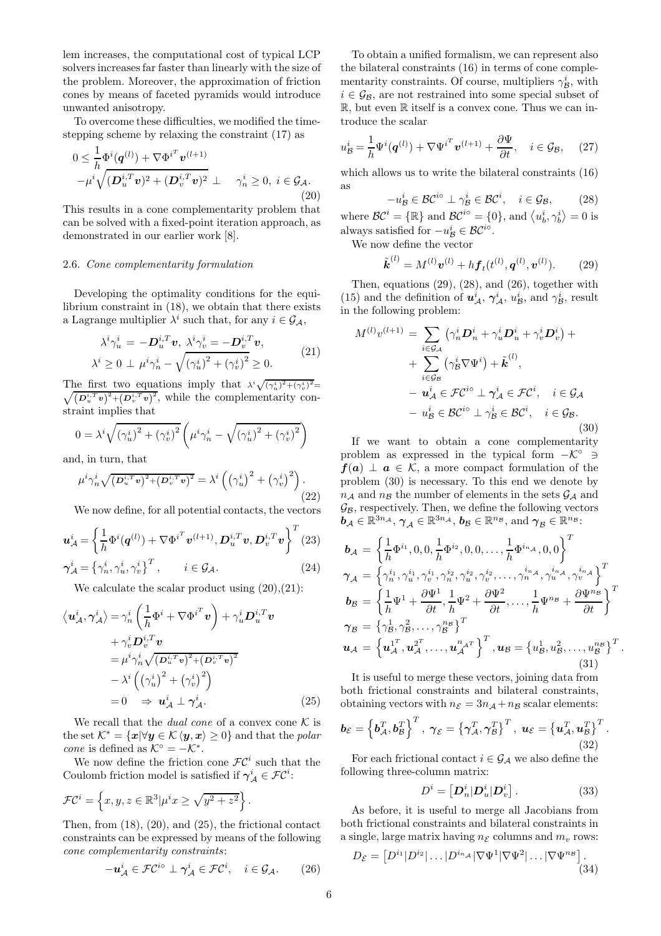lem increases, the computational cost of typical LCP solvers increases far faster than linearly with the size of the problem. Moreover, the approximation of friction cones by means of faceted pyramids would introduce unwanted anisotropy.

To overcome these difficulties, we modified the timestepping scheme by relaxing the constraint (17) as

$$
0 \leq \frac{1}{h} \Phi^{i}(\boldsymbol{q}^{(l)}) + \nabla \Phi^{i^{T}} \boldsymbol{v}^{(l+1)} -\mu^{i} \sqrt{(\boldsymbol{D}_{u}^{i,T} \boldsymbol{v})^{2} + (\boldsymbol{D}_{v}^{i,T} \boldsymbol{v})^{2}} \perp \quad \gamma_{n}^{i} \geq 0, \ i \in \mathcal{G}_{\mathcal{A}}.
$$
\n(20)

This results in a cone complementarity problem that can be solved with a fixed-point iteration approach, as demonstrated in our earlier work [8].

#### 2.6. Cone complementarity formulation

Developing the optimality conditions for the equilibrium constraint in (18), we obtain that there exists a Lagrange multiplier  $\lambda^i$  such that, for any  $i \in \mathcal{G}_A$ ,

$$
\lambda^{i}\gamma_{u}^{i} = -\mathbf{D}_{u}^{i,T}\mathbf{v}, \ \lambda^{i}\gamma_{v}^{i} = -\mathbf{D}_{v}^{i,T}\mathbf{v},
$$

$$
\lambda^{i} \geq 0 \ \perp \ \mu^{i}\gamma_{n}^{i} - \sqrt{(\gamma_{u}^{i})^{2} + (\gamma_{v}^{i})^{2}} \geq 0.
$$
 (21)

The first two equations imply that  $\lambda^i \sqrt{(\gamma_u^i)^2 + (\gamma_v^i)^2} =$  $\sqrt{(D_u^{i,T} v)^2 + (D_v^{i,T} v)^2}$ , while the complementarity constraint implies that

$$
0 = \lambda^{i} \sqrt{(\gamma_{u}^{i})^{2} + (\gamma_{v}^{i})^{2}} \left(\mu^{i} \gamma_{n}^{i} - \sqrt{(\gamma_{u}^{i})^{2} + (\gamma_{v}^{i})^{2}}\right)
$$

and, in turn, that

$$
\mu^i \gamma_n^i \sqrt{(\mathcal{D}_u^{i,T} \mathbf{v})^2 + (\mathcal{D}_v^{i,T} \mathbf{v})^2} = \lambda^i \left( \left(\gamma_u^i\right)^2 + \left(\gamma_v^i\right)^2 \right). \tag{22}
$$

We now define, for all potential contacts, the vectors

$$
\boldsymbol{u}_{\mathcal{A}}^{i} = \left\{ \frac{1}{h} \Phi^{i}(\boldsymbol{q}^{(l)}) + \nabla \Phi^{i^{T}} \boldsymbol{v}^{(l+1)}, \boldsymbol{D}_{u}^{i,T} \boldsymbol{v}, \boldsymbol{D}_{v}^{i,T} \boldsymbol{v} \right\}^{T} (23)
$$
  

$$
\boldsymbol{\gamma}_{\mathcal{A}}^{i} = \left\{ \gamma_{n}^{i}, \gamma_{u}^{i}, \gamma_{v}^{i} \right\}^{T}, \qquad i \in \mathcal{G}_{\mathcal{A}}.
$$

We calculate the scalar product using  $(20),(21)$ :

$$
\langle \boldsymbol{u}_A^i, \boldsymbol{\gamma}_A^i \rangle = \gamma_n^i \left( \frac{1}{h} \boldsymbol{\Phi}^i + \nabla \boldsymbol{\Phi}^{i^T} \boldsymbol{v} \right) + \gamma_u^i \boldsymbol{D}_u^{i, T} \boldsymbol{v} + \gamma_v^i \boldsymbol{D}_v^{i, T} \boldsymbol{v} = \mu^i \gamma_n^i \sqrt{(\boldsymbol{D}_u^{i, T} \boldsymbol{v})^2 + (\boldsymbol{D}_v^{i, T} \boldsymbol{v})^2} - \lambda^i \left( (\gamma_u^i)^2 + (\gamma_v^i)^2 \right) = 0 \Rightarrow \boldsymbol{u}_A^i \perp \boldsymbol{\gamma}_A^i.
$$
 (25)

We recall that the *dual cone* of a convex cone  $K$  is the set  $\mathcal{K}^* = \{x | \forall y \in \mathcal{K} \langle y, x \rangle \geq 0\}$  and that the polar cone is defined as  $K^{\circ} = -K^*$ .

We now define the friction cone  $\mathcal{FC}^i$  such that the Coulomb friction model is satisfied if  $\gamma^i_A \in \mathcal{FC}^i$ :

$$
\mathcal{FC}^i = \left\{ x, y, z \in \mathbb{R}^3 | \mu^i x \ge \sqrt{y^2 + z^2} \right\}.
$$

Then, from (18), (20), and (25), the frictional contact constraints can be expressed by means of the following cone complementarity constraints:

$$
-\boldsymbol{u}_{\mathcal{A}}^i \in \mathcal{FC}^{i\circ} \perp \gamma_{\mathcal{A}}^i \in \mathcal{FC}^i, \quad i \in \mathcal{G}_{\mathcal{A}}.\tag{26}
$$

To obtain a unified formalism, we can represent also the bilateral constraints (16) in terms of cone complementarity constraints. Of course, multipliers  $\gamma_B^i$ , with  $i \in \mathcal{G}_{\mathcal{B}}$ , are not restrained into some special subset of  $\mathbb{R}$ , but even  $\mathbb{R}$  itself is a convex cone. Thus we can introduce the scalar

$$
u_{\mathcal{B}}^{i} = \frac{1}{h} \Psi^{i}(\boldsymbol{q}^{(l)}) + \nabla {\Psi^{i}}^{T} \boldsymbol{v}^{(l+1)} + \frac{\partial \Psi}{\partial t}, \quad i \in \mathcal{G}_{\mathcal{B}}, \quad (27)
$$

which allows us to write the bilateral constraints (16) as

$$
-u^i_{\mathcal{B}} \in \mathcal{BC}^{i\circ} \perp \gamma^i_{\mathcal{B}} \in \mathcal{BC}^i, \quad i \in \mathcal{G}_{\mathcal{B}},\tag{28}
$$

where  $\mathcal{B}\mathcal{C}^i = {\mathbb{R}}$  and  $\mathcal{B}\mathcal{C}^{io} = {0}$ , and  $\langle u_b^i, \gamma_b^i \rangle = 0$  is always satisfied for  $-u^i_{\mathcal{B}} \in \mathcal{BC}^{i\circ}$ .

We now define the vector

$$
\tilde{\boldsymbol{k}}^{(l)} = M^{(l)} \boldsymbol{v}^{(l)} + h \boldsymbol{f}_t(t^{(l)}, \boldsymbol{q}^{(l)}, \boldsymbol{v}^{(l)}). \qquad (29)
$$

Then, equations (29), (28), and (26), together with (15) and the definition of  $u^i_A$ ,  $\gamma^i_A$ ,  $u^i_B$ , and  $\gamma^i_B$ , result in the following problem:

$$
M^{(l)}v^{(l+1)} = \sum_{i \in \mathcal{G}_{\mathcal{A}}} \left( \gamma_n^i \mathbf{D}_n^i + \gamma_u^i \mathbf{D}_u^i + \gamma_v^i \mathbf{D}_v^i \right) + + \sum_{i \in \mathcal{G}_{\mathcal{B}}} \left( \gamma_{\mathcal{B}}^i \nabla \Psi^i \right) + \tilde{\mathbf{k}}^{(l)}, - \mathbf{u}_{\mathcal{A}}^i \in \mathcal{F} \mathcal{C}^{i \circ} \perp \gamma_{\mathcal{A}}^i \in \mathcal{F} \mathcal{C}^i, \quad i \in \mathcal{G}_{\mathcal{A}} - u_{\mathcal{B}}^i \in \mathcal{B} \mathcal{C}^{i \circ} \perp \gamma_{\mathcal{B}}^i \in \mathcal{B} \mathcal{C}^i, \quad i \in \mathcal{G}_{\mathcal{B}}.
$$
\n(30)

If we want to obtain a cone complementarity problem as expressed in the typical form  $-K^{\circ} \ni$  $f(a) \perp a \in \mathcal{K}$ , a more compact formulation of the problem (30) is necessary. To this end we denote by  $n_{\mathcal{A}}$  and  $n_{\mathcal{B}}$  the number of elements in the sets  $\mathcal{G}_{\mathcal{A}}$  and  $\mathcal{G}_{\mathcal{B}}$ , respectively. Then, we define the following vectors  $\boldsymbol{b}_\mathcal{A}\in\mathbb{R}^{3n_\mathcal{A}},\,\boldsymbol{\gamma}_\mathcal{A}\in\mathbb{R}^{3n_\mathcal{A}},\,\boldsymbol{b}_\mathcal{B}\in\mathbb{R}^{n_\mathcal{B}},\,\text{and}\;\boldsymbol{\gamma}_\mathcal{B}\in\mathbb{R}^{n_\mathcal{B}};$ 

$$
b_{\mathcal{A}} = \left\{ \frac{1}{h} \Phi^{i_1}, 0, 0, \frac{1}{h} \Phi^{i_2}, 0, 0, \dots, \frac{1}{h} \Phi^{i_{n_{\mathcal{A}}}}, 0, 0 \right\}^T \n\gamma_{\mathcal{A}} = \left\{ \gamma_n^{i_1}, \gamma_u^{i_1}, \gamma_v^{i_1}, \gamma_n^{i_2}, \gamma_u^{i_2}, \gamma_v^{i_2}, \dots, \gamma_n^{i_{n_{\mathcal{A}}}}, \gamma_u^{i_{n_{\mathcal{A}}}}, \gamma_v^{i_{n_{\mathcal{A}}}} \right\}^T \n b_{\mathcal{B}} = \left\{ \frac{1}{h} \Psi^1 + \frac{\partial \Psi^1}{\partial t}, \frac{1}{h} \Psi^2 + \frac{\partial \Psi^2}{\partial t}, \dots, \frac{1}{h} \Psi^{n_{\mathcal{B}}} + \frac{\partial \Psi^{n_{\mathcal{B}}}}{\partial t} \right\}^T \n\gamma_{\mathcal{B}} = \left\{ \gamma_B^1, \gamma_B^2, \dots, \gamma_B^{n_{\mathcal{B}}} \right\}^T \n\mathbf{u}_{\mathcal{A}} = \left\{ \mathbf{u}_{\mathcal{A}}^1, \mathbf{u}_{\mathcal{A}}^2, \dots, \mathbf{u}_{\mathcal{A}}^{n_{\mathcal{A}}} \right\}^T, \mathbf{u}_{\mathcal{B}} = \left\{ u_B^1, u_B^2, \dots, u_B^{n_{\mathcal{B}}} \right\}^T.
$$
\n(31)

It is useful to merge these vectors, joining data from both frictional constraints and bilateral constraints, obtaining vectors with  $n_{\mathcal{E}} = 3n_{\mathcal{A}} + n_{\mathcal{B}}$  scalar elements:

$$
\boldsymbol{b}_{\mathcal{E}} = \left\{ \boldsymbol{b}_{\mathcal{A}}^T, \boldsymbol{b}_{\mathcal{B}}^T \right\}^T, \ \boldsymbol{\gamma}_{\mathcal{E}} = \left\{ \boldsymbol{\gamma}_{\mathcal{A}}^T, \boldsymbol{\gamma}_{\mathcal{B}}^T \right\}^T, \ \boldsymbol{u}_{\mathcal{E}} = \left\{ \boldsymbol{u}_{\mathcal{A}}^T, \boldsymbol{u}_{\mathcal{B}}^T \right\}^T. \tag{32}
$$

For each frictional contact  $i \in \mathcal{G}_{\mathcal{A}}$  we also define the following three-column matrix:

$$
D^i = \left[ \mathbf{D}_n^i | \mathbf{D}_u^i | \mathbf{D}_v^i \right]. \tag{33}
$$

As before, it is useful to merge all Jacobians from both frictional constraints and bilateral constraints in a single, large matrix having  $n_{\mathcal{E}}$  columns and  $m_v$  rows:

$$
D_{\mathcal{E}} = \left[ D^{i_1} | D^{i_2} | \dots | D^{i_{n_{\mathcal{A}}}} | \nabla \Psi^1 | \nabla \Psi^2 | \dots | \nabla \Psi^{n_{\mathcal{B}}} \right].
$$
\n(34)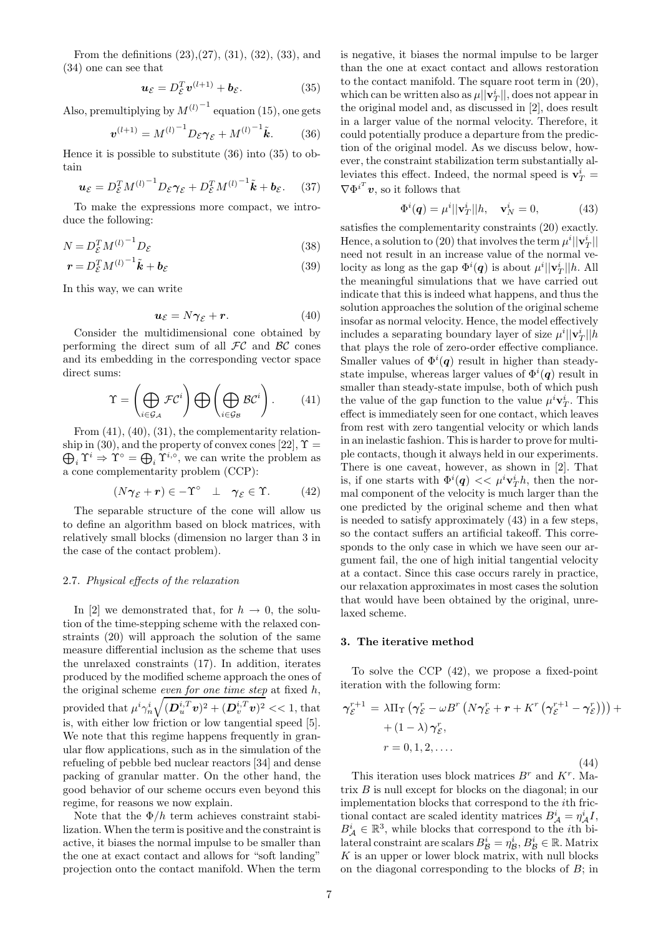From the definitions (23),(27), (31), (32), (33), and (34) one can see that

$$
\mathbf{u}_{\mathcal{E}} = D_{\mathcal{E}}^T \mathbf{v}^{(l+1)} + \mathbf{b}_{\mathcal{E}}.\tag{35}
$$

Also, premultiplying by  $M^{(l)}^{-1}$  equation (15), one gets

$$
\boldsymbol{v}^{(l+1)} = M^{(l)}^{-1} D_{\varepsilon} \boldsymbol{\gamma}_{\varepsilon} + M^{(l)}^{-1} \tilde{\boldsymbol{k}}.
$$
 (36)

Hence it is possible to substitute (36) into (35) to obtain

$$
\mathbf{u}_{\mathcal{E}} = D_{\mathcal{E}}^T M^{(l)}{}^{-1} D_{\mathcal{E}} \boldsymbol{\gamma}_{\mathcal{E}} + D_{\mathcal{E}}^T M^{(l)}{}^{-1} \tilde{\mathbf{k}} + \mathbf{b}_{\mathcal{E}}.
$$
 (37)

To make the expressions more compact, we introduce the following:

$$
N = D_{\mathcal{E}}^T M^{(l)^{-1}} D_{\mathcal{E}} \tag{38}
$$

$$
\boldsymbol{r} = D_{\mathcal{E}}^T M^{(l)}^{-1} \tilde{\boldsymbol{k}} + \boldsymbol{b}_{\mathcal{E}} \tag{39}
$$

In this way, we can write

$$
u_{\mathcal{E}} = N\gamma_{\mathcal{E}} + r. \tag{40}
$$

Consider the multidimensional cone obtained by performing the direct sum of all  $\mathcal{FC}$  and  $\mathcal{BC}$  cones and its embedding in the corresponding vector space direct sums:

$$
\Upsilon = \left(\bigoplus_{i \in \mathcal{G}_{\mathcal{A}}} \mathcal{F}\mathcal{C}^i\right) \bigoplus \left(\bigoplus_{i \in \mathcal{G}_{\mathcal{B}}} \mathcal{B}\mathcal{C}^i\right). \tag{41}
$$

From  $(41)$ ,  $(40)$ ,  $(31)$ , the complementarity relationship in (30), and the property of convex cones [22],  $\Upsilon$  =  $\bigoplus_i \Upsilon^i \Rightarrow \Upsilon^{\circ} = \bigoplus_i \Upsilon^{i,\circ}$ , we can write the problem as a cone complementarity problem (CCP):

$$
(N\boldsymbol{\gamma}_{\mathcal{E}}+\boldsymbol{r})\in-\Upsilon^{\circ}\quad\perp\quad\boldsymbol{\gamma}_{\mathcal{E}}\in\Upsilon.\tag{42}
$$

The separable structure of the cone will allow us to define an algorithm based on block matrices, with relatively small blocks (dimension no larger than 3 in the case of the contact problem).

#### 2.7. Physical effects of the relaxation

In [2] we demonstrated that, for  $h \to 0$ , the solution of the time-stepping scheme with the relaxed constraints (20) will approach the solution of the same measure differential inclusion as the scheme that uses the unrelaxed constraints (17). In addition, iterates produced by the modified scheme approach the ones of the original scheme *even for one time step* at fixed  $h$ , provided that  $\mu^i \gamma_n^i$  $\sqrt{(\boldsymbol{D}_u^{i,T} \boldsymbol{v})^2 + (\boldsymbol{D}_v^{i,T} \boldsymbol{v})^2}$  << 1, that is, with either low friction or low tangential speed [5]. We note that this regime happens frequently in granular flow applications, such as in the simulation of the refueling of pebble bed nuclear reactors [34] and dense packing of granular matter. On the other hand, the good behavior of our scheme occurs even beyond this regime, for reasons we now explain.

Note that the  $\Phi/h$  term achieves constraint stabilization. When the term is positive and the constraint is active, it biases the normal impulse to be smaller than the one at exact contact and allows for "soft landing" projection onto the contact manifold. When the term

is negative, it biases the normal impulse to be larger than the one at exact contact and allows restoration to the contact manifold. The square root term in (20), which can be written also as  $\mu$ ,  $|\mathbf{v}_T^i|$ , does not appear in the original model and, as discussed in [2], does result in a larger value of the normal velocity. Therefore, it could potentially produce a departure from the prediction of the original model. As we discuss below, however, the constraint stabilization term substantially alleviates this effect. Indeed, the normal speed is  $\mathbf{v}_T^i$  =  $\nabla {\Phi^i}^T \boldsymbol{v}$ , so it follows that

$$
\Phi^{i}(\boldsymbol{q}) = \mu^{i} ||\mathbf{v}_{T}^{i}||h, \quad \mathbf{v}_{N}^{i} = 0,
$$
\n(43)

satisfies the complementarity constraints (20) exactly. Hence, a solution to (20) that involves the term  $\mu^i ||\mathbf{v}_T^i||$ need not result in an increase value of the normal velocity as long as the gap  $\Phi^{i}(\boldsymbol{q})$  is about  $\mu^{i}||\mathbf{v}_{T}^{i}||h$ . All the meaningful simulations that we have carried out indicate that this is indeed what happens, and thus the solution approaches the solution of the original scheme insofar as normal velocity. Hence, the model effectively includes a separating boundary layer of size  $\mu^{i} || \mathbf{v}_{T}^{i} || h$ that plays the role of zero-order effective compliance. Smaller values of  $\Phi^{i}(q)$  result in higher than steadystate impulse, whereas larger values of  $\Phi^{i}(q)$  result in smaller than steady-state impulse, both of which push the value of the gap function to the value  $\mu^i \mathbf{v}_T^i$ . This effect is immediately seen for one contact, which leaves from rest with zero tangential velocity or which lands in an inelastic fashion. This is harder to prove for multiple contacts, though it always held in our experiments. There is one caveat, however, as shown in [2]. That is, if one starts with  $\Phi^{i}(\boldsymbol{q}) \ll \mu^{i} \mathbf{v}_{T}^{i} h$ , then the normal component of the velocity is much larger than the one predicted by the original scheme and then what is needed to satisfy approximately (43) in a few steps, so the contact suffers an artificial takeoff. This corresponds to the only case in which we have seen our argument fail, the one of high initial tangential velocity at a contact. Since this case occurs rarely in practice, our relaxation approximates in most cases the solution that would have been obtained by the original, unrelaxed scheme.

#### 3. The iterative method

To solve the CCP (42), we propose a fixed-point iteration with the following form:

$$
\gamma_{\mathcal{E}}^{r+1} = \lambda \Pi_{\Upsilon} \left( \gamma_{\mathcal{E}}^{r} - \omega B^{r} \left( N \gamma_{\mathcal{E}}^{r} + \mathbf{r} + K^{r} \left( \gamma_{\mathcal{E}}^{r+1} - \gamma_{\mathcal{E}}^{r} \right) \right) \right) +
$$
  
+ 
$$
(1 - \lambda) \gamma_{\mathcal{E}}^{r},
$$
  

$$
r = 0, 1, 2, ....
$$
  
(44)

This iteration uses block matrices  $B^r$  and  $K^r$ . Matrix B is null except for blocks on the diagonal; in our implementation blocks that correspond to the ith frictional contact are scaled identity matrices  $B^i_{\mathcal{A}} = \eta^i_{\mathcal{A}} I$ ,  $B^i_{\mathcal{A}} \in \mathbb{R}^3$ , while blocks that correspond to the *i*<sup>th</sup> bilateral constraint are scalars  $B^i_{\mathcal{B}} = \eta^i_{\mathcal{B}}, B^i_{\mathcal{B}} \in \mathbb{R}$ . Matrix  $K$  is an upper or lower block matrix, with null blocks on the diagonal corresponding to the blocks of  $B$ ; in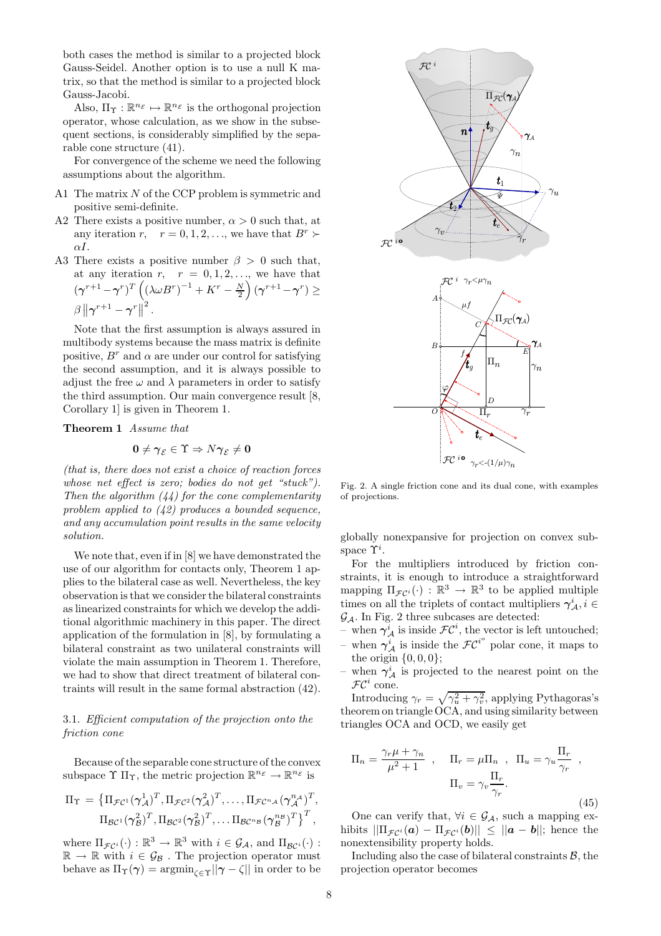both cases the method is similar to a projected block Gauss-Seidel. Another option is to use a null K matrix, so that the method is similar to a projected block Gauss-Jacobi.

Also,  $\Pi_{\Upsilon} : \mathbb{R}^{n_{\mathcal{E}}} \mapsto \mathbb{R}^{n_{\mathcal{E}}}$  is the orthogonal projection operator, whose calculation, as we show in the subsequent sections, is considerably simplified by the separable cone structure (41).

For convergence of the scheme we need the following assumptions about the algorithm.

- A1 The matrix  $N$  of the CCP problem is symmetric and positive semi-definite.
- A2 There exists a positive number,  $\alpha > 0$  such that, at any iteration r,  $r = 0, 1, 2, \dots$ , we have that  $B^r \succ$  $\alpha I$
- A3 There exists a positive number  $\beta > 0$  such that, at any iteration  $r, r = 0, 1, 2, \ldots$ , we have that  $(\boldsymbol{\gamma}^{r+1} - \boldsymbol{\gamma}^r)^T \left( (\lambda \omega B^r)^{-1} + K^r - \frac{N}{2} \right)$  $\Big)\,(\boldsymbol{\gamma}^{r+1}\,{-}\,\boldsymbol{\gamma}^{r})\geq$  $\beta\left\Vert \boldsymbol{\gamma}^{r+1}-\boldsymbol{\gamma}^{r}\right\Vert ^{2}.$

Note that the first assumption is always assured in multibody systems because the mass matrix is definite positive,  $B^r$  and  $\alpha$  are under our control for satisfying the second assumption, and it is always possible to adjust the free  $\omega$  and  $\lambda$  parameters in order to satisfy the third assumption. Our main convergence result [8, Corollary 1] is given in Theorem 1.

# Theorem 1 Assume that

$$
\mathbf{0} \neq \boldsymbol{\gamma}_{\mathcal{E}} \in \Upsilon \Rightarrow N\boldsymbol{\gamma}_{\mathcal{E}} \neq \mathbf{0}
$$

(that is, there does not exist a choice of reaction forces whose net effect is zero; bodies do not get "stuck"). Then the algorithm  $(44)$  for the cone complementarity problem applied to  $(42)$  produces a bounded sequence, and any accumulation point results in the same velocity solution.

We note that, even if in [8] we have demonstrated the use of our algorithm for contacts only, Theorem 1 applies to the bilateral case as well. Nevertheless, the key observation is that we consider the bilateral constraints as linearized constraints for which we develop the additional algorithmic machinery in this paper. The direct application of the formulation in [8], by formulating a bilateral constraint as two unilateral constraints will violate the main assumption in Theorem 1. Therefore, we had to show that direct treatment of bilateral contraints will result in the same formal abstraction (42).

# 3.1. Efficient computation of the projection onto the friction cone

Because of the separable cone structure of the convex subspace  $\Upsilon \Pi_{\Upsilon}$ , the metric projection  $\mathbb{R}^{n_{\mathcal{E}}} \to \mathbb{R}^{n_{\mathcal{E}}}$  is

$$
\Pi_{\Upsilon} = \left\{ \Pi_{\mathcal{FC}^1}(\gamma_{\mathcal{A}}^1)^T, \Pi_{\mathcal{FC}^2}(\gamma_{\mathcal{A}}^2)^T, \dots, \Pi_{\mathcal{FC}^{n_{\mathcal{A}}}}(\gamma_{\mathcal{A}}^{n_{\mathcal{A}}})^T, \right\}
$$

$$
\Pi_{\mathcal{BC}^1}(\gamma_{\mathcal{B}}^2)^T, \Pi_{\mathcal{BC}^2}(\gamma_{\mathcal{B}}^2)^T, \dots, \Pi_{\mathcal{BC}^{n_{\mathcal{B}}}}(\gamma_{\mathcal{B}}^{n_{\mathcal{B}}})^T \right\}^T,
$$

where  $\Pi_{\mathcal{FC}^i}(\cdot) : \mathbb{R}^3 \to \mathbb{R}^3$  with  $i \in \mathcal{G}_\mathcal{A}$ , and  $\Pi_{\mathcal{BC}^i}(\cdot)$ :  $\mathbb{R} \to \mathbb{R}$  with  $i \in \mathcal{G}_{\mathcal{B}}$  . The projection operator must behave as  $\Pi_{\Upsilon}(\gamma) = \operatorname{argmin}_{\zeta \in \Upsilon} ||\gamma - \zeta||$  in order to be



Fig. 2. A single friction cone and its dual cone, with examples of projections.

globally nonexpansive for projection on convex subspace  $\Upsilon^i$ .

For the multipliers introduced by friction constraints, it is enough to introduce a straightforward mapping  $\Pi_{\mathcal{F}C^i}(\cdot) : \mathbb{R}^3 \to \mathbb{R}^3$  to be applied multiple times on all the triplets of contact multipliers  $\gamma^i_{\mathcal{A}}, i \in$  $\mathcal{G}_{\mathcal{A}}$ . In Fig. 2 three subcases are detected:

- when  $\gamma^i_A$  is inside  $\mathcal{FC}^i$ , the vector is left untouched;
- when  $\gamma^i_A$  is inside the  $\mathcal{FC}^{i^o}$  polar cone, it maps to the origin  $\{0, 0, 0\};$
- when  $\gamma^i_A$  is projected to the nearest point on the  $\mathcal{FC}^i$  cone.

Introducing  $\gamma_r = \sqrt{\gamma_u^2 + \gamma_v^2}$ , applying Pythagoras's theorem on triangle OCA, and using similarity between triangles OCA and OCD, we easily get

$$
\Pi_n = \frac{\gamma_r \mu + \gamma_n}{\mu^2 + 1} , \quad \Pi_r = \mu \Pi_n , \quad \Pi_u = \gamma_u \frac{\Pi_r}{\gamma_r} ,
$$

$$
\Pi_v = \gamma_v \frac{\Pi_r}{\gamma_r} .
$$
(45)

One can verify that,  $\forall i \in \mathcal{G}_{\mathcal{A}}$ , such a mapping exhibits  $\|\Pi_{\mathcal{FC}^i}(\boldsymbol{a}) - \Pi_{\mathcal{FC}^i}(\boldsymbol{b})\| \leq \|\boldsymbol{a} - \boldsymbol{b}\|$ ; hence the nonextensibility property holds.

Including also the case of bilateral constraints  $\beta$ , the projection operator becomes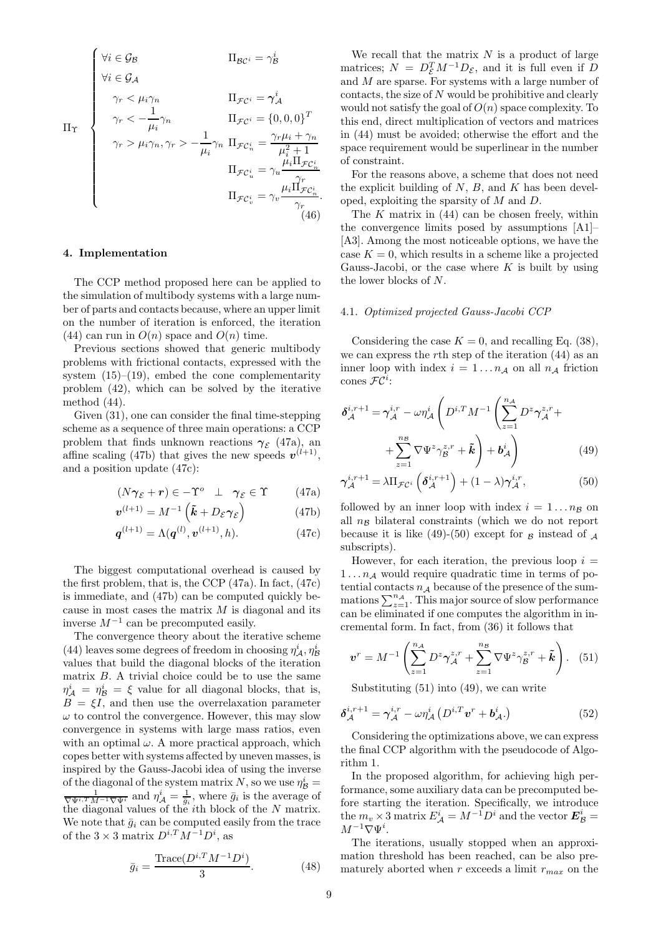$$
\Pi_{\Upsilon}
$$
\n
$$
\Psi_{i} \in \mathcal{G}_{A}
$$
\n
$$
\gamma_{r} < \mu_{i}\gamma_{n}
$$
\n
$$
\Pi_{\mathcal{F}C^{i}} = \gamma_{A}^{i}
$$
\n
$$
\gamma_{r} < -\frac{1}{\mu_{i}}\gamma_{n}
$$
\n
$$
\Pi_{\mathcal{F}C^{i}} = \gamma_{A}^{i}
$$
\n
$$
\Pi_{\mathcal{F}C^{i}} = \{0, 0, 0\}^{T}
$$
\n
$$
\gamma_{r} > \mu_{i}\gamma_{n}, \gamma_{r} > -\frac{1}{\mu_{i}}\gamma_{n}
$$
\n
$$
\Pi_{\mathcal{F}C_{n}^{i}} = \frac{\gamma_{r}\mu_{i} + \gamma_{n}}{\mu_{i}^{2} + 1}
$$
\n
$$
\Pi_{\mathcal{F}C_{u}^{i}} = \gamma_{u} \frac{\mu_{i}\Pi_{\mathcal{F}C_{n}^{i}}}{\gamma_{r}}
$$
\n
$$
\Pi_{\mathcal{F}C_{v}^{i}} = \gamma_{v} \frac{\mu_{i}\Pi_{\mathcal{F}C_{n}^{i}}}{\gamma_{r}}.
$$
\n(46)

#### 4. Implementation

The CCP method proposed here can be applied to the simulation of multibody systems with a large number of parts and contacts because, where an upper limit on the number of iteration is enforced, the iteration (44) can run in  $O(n)$  space and  $O(n)$  time.

Previous sections showed that generic multibody problems with frictional contacts, expressed with the system  $(15)$ – $(19)$ , embed the cone complementarity problem (42), which can be solved by the iterative method (44).

Given (31), one can consider the final time-stepping scheme as a sequence of three main operations: a CCP problem that finds unknown reactions  $\gamma_{\mathcal{E}}$  (47a), and affine scaling (47b) that gives the new speeds  $v^{(l+1)}$ , and a position update (47c):

$$
(N\boldsymbol{\gamma}_{\mathcal{E}}+\boldsymbol{r})\in-\Upsilon^o~~\bot~~\boldsymbol{\gamma}_{\mathcal{E}}\in\Upsilon \qquad \quad \ (47\mathrm{a})
$$

$$
\boldsymbol{v}^{(l+1)} = M^{-1} \left( \tilde{\boldsymbol{k}} + D_{\mathcal{E}} \boldsymbol{\gamma}_{\mathcal{E}} \right) \tag{47b}
$$

$$
\mathbf{q}^{(l+1)} = \Lambda(\mathbf{q}^{(l)}, \mathbf{v}^{(l+1)}, h). \tag{47c}
$$

The biggest computational overhead is caused by the first problem, that is, the CCP (47a). In fact, (47c) is immediate, and (47b) can be computed quickly because in most cases the matrix  $M$  is diagonal and its inverse  $M^{-1}$  can be precomputed easily.

The convergence theory about the iterative scheme (44) leaves some degrees of freedom in choosing  $\eta^i_A$ ,  $\eta^i_B$ values that build the diagonal blocks of the iteration matrix B. A trivial choice could be to use the same  $\eta^i_{\mathcal{A}} = \eta^i_{\mathcal{B}} = \xi$  value for all diagonal blocks, that is,  $B = \xi I$ , and then use the overrelaxation parameter  $\omega$  to control the convergence. However, this may slow convergence in systems with large mass ratios, even with an optimal  $\omega$ . A more practical approach, which copes better with systems affected by uneven masses, is inspired by the Gauss-Jacobi idea of using the inverse of the diagonal of the system matrix N, so we use  $\eta_{\mathcal{B}}^i =$  $\frac{1}{\nabla \Psi^{i,T} M^{-1} \nabla \Psi^{i}}$  and  $\eta_{\mathcal{A}}^{i} = \frac{1}{\bar{g}_i}$ , where  $\bar{g}_i$  is the average of the diagonal values of the ith block of the N matrix. We note that  $\bar{g}_i$  can be computed easily from the trace of the  $3 \times 3$  matrix  $D^{i,T} M^{-1} D^i$ , as

$$
\bar{g}_i = \frac{\text{Trace}(D^{i,T} M^{-1} D^i)}{3}.
$$
 (48)

We recall that the matrix  $N$  is a product of large matrices;  $N = D_{\mathcal{E}}^T M^{-1} D_{\mathcal{E}}$ , and it is full even if D and M are sparse. For systems with a large number of  $\text{contacts}, \text{the size of } N \text{ would be prohibitive and clearly}$ would not satisfy the goal of  $O(n)$  space complexity. To this end, direct multiplication of vectors and matrices in (44) must be avoided; otherwise the effort and the space requirement would be superlinear in the number of constraint.

For the reasons above, a scheme that does not need the explicit building of  $N$ ,  $B$ , and  $K$  has been developed, exploiting the sparsity of M and D.

The  $K$  matrix in  $(44)$  can be chosen freely, within the convergence limits posed by assumptions [A1]– [A3]. Among the most noticeable options, we have the case  $K = 0$ , which results in a scheme like a projected Gauss-Jacobi, or the case where  $K$  is built by using the lower blocks of N.

## 4.1. Optimized projected Gauss-Jacobi CCP

Considering the case  $K = 0$ , and recalling Eq. (38), we can express the rth step of the iteration  $(44)$  as an inner loop with index  $i = 1 \dots n_{\mathcal{A}}$  on all  $n_{\mathcal{A}}$  friction cones  $\mathcal{FC}^i$ :

$$
\delta_{\mathcal{A}}^{i,r+1} = \gamma_{\mathcal{A}}^{i,r} - \omega \eta_{\mathcal{A}}^{i} \left( D^{i,T} M^{-1} \left( \sum_{z=1}^{n_{\mathcal{A}}} D^{z} \gamma_{\mathcal{A}}^{z,r} + \sum_{z=1}^{n_{\mathcal{B}}} \nabla \Psi^{z} \gamma_{\mathcal{B}}^{z,r} + \tilde{k} \right) + \mathbf{b}_{\mathcal{A}}^{i} \right)
$$
(49)

$$
\gamma_{\mathcal{A}}^{i,r+1} = \lambda \Pi_{\mathcal{FC}^i} \left( \delta_{\mathcal{A}}^{i,r+1} \right) + (1 - \lambda) \gamma_{\mathcal{A}}^{i,r},\tag{50}
$$

followed by an inner loop with index  $i = 1...n_B$  on all  $n_B$  bilateral constraints (which we do not report because it is like (49)-(50) except for  $\beta$  instead of  $\lambda$ subscripts).

However, for each iteration, the previous loop  $i =$  $1 \ldots n_{\mathcal{A}}$  would require quadratic time in terms of potential contacts  $n_A$  because of the presence of the summations  $\sum_{z=1}^{n_A}$ . This major source of slow performance can be eliminated if one computes the algorithm in incremental form. In fact, from (36) it follows that

$$
\boldsymbol{v}^r = M^{-1} \left( \sum_{z=1}^{n_{\mathcal{A}}} D^z \boldsymbol{\gamma}_{\mathcal{A}}^{z,r} + \sum_{z=1}^{n_{\mathcal{B}}} \nabla \Psi^z \boldsymbol{\gamma}_{\mathcal{B}}^{z,r} + \tilde{\boldsymbol{k}} \right). \tag{51}
$$

Substituting (51) into (49), we can write

$$
\delta_{\mathcal{A}}^{i,r+1} = \gamma_{\mathcal{A}}^{i,r} - \omega \eta_{\mathcal{A}}^{i} \left( D^{i,T} \boldsymbol{v}^{r} + \boldsymbol{b}_{\mathcal{A}}^{i} \right)
$$
(52)

Considering the optimizations above, we can express the final CCP algorithm with the pseudocode of Algorithm 1.

In the proposed algorithm, for achieving high performance, some auxiliary data can be precomputed before starting the iteration. Specifically, we introduce the  $m_v \times 3$  matrix  $E^i_A = M^{-1}D^i$  and the vector  $\mathbf{E}^i_B =$  $M^{-1}\nabla \Psi^i$ .

The iterations, usually stopped when an approximation threshold has been reached, can be also prematurely aborted when  $r$  exceeds a limit  $r_{max}$  on the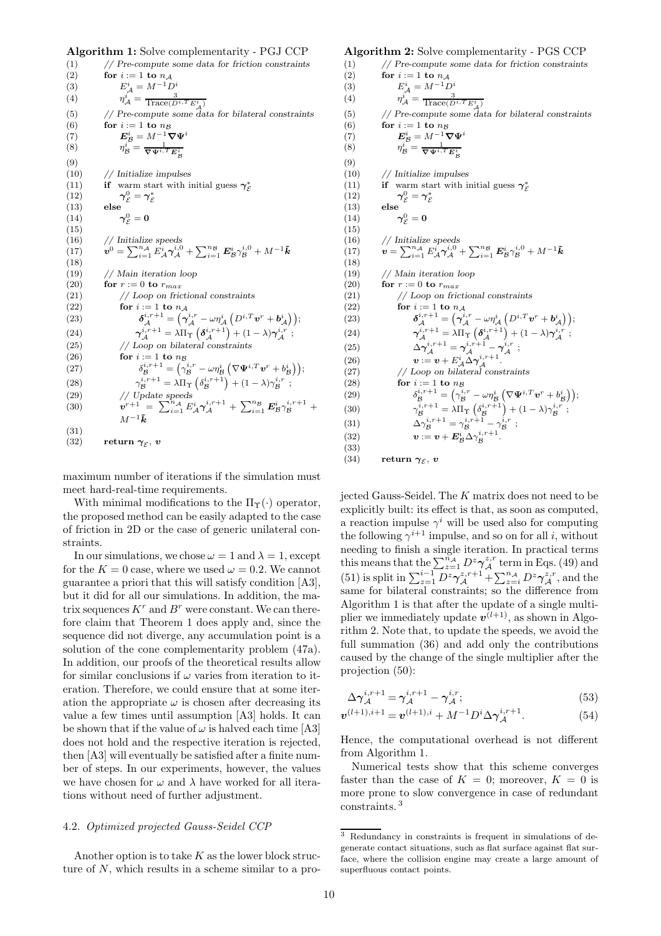Algorithm 1: Solve complementarity - PGJ CCP

(1) // Pre-compute some data for friction constraints (2) for  $i := 1$  to  $n_{\mathcal{A}}$ (3)  $E^i_A = M^{-1}D^i$  $(4)$  $\mathcal{A} = \frac{3}{\text{Trace}(D^{i,T} E_{\mathcal{A}}^{i})}$ (5) // Pre-compute some data for bilateral constraints (6) for  $i := 1$  to  $ng$ (7)  $\boldsymbol{E}_{\mathcal{B}}^i = M^{-1} \boldsymbol{\nabla} \boldsymbol{\Psi}^i$ (8)  $\eta_{\mathcal{B}}^{i} = \frac{1}{\nabla \Psi^{i,T} E_{\mathcal{B}}^{i}}$ (9) (10) // Initialize impulses (11) if warm start with initial guess  $\gamma_{\mathcal{E}}^*$ (12)  $\gamma_{\mathcal{E}}^0 = \gamma_{\mathcal{E}}^*$ <br>(13) else  $(14)$  $\overset{0}{\varepsilon} = \mathbf{0}$ (15)  $(16)$  // Initialize speeds  $(17)$  $\hat{\bm{b}}^0 = \sum_{i=1}^{n_\mathcal{A}} E^i_\mathcal{A} \bm{\gamma}_\mathcal{A}^{i,0} + \sum_{i=1}^{n_\mathcal{B}} \bm{E}^i_\mathcal{B} \bm{\gamma}_\mathcal{B}^{i,0} + M^{-1} \tilde{\bm{k}}$ (18) (19) // Main iteration loop (20) for  $r := 0$  to  $r_{max}$ (21) // Loop on frictional constraints (22) for  $i := 1$  to  $n_{\mathcal{A}}$  $(23)$  $\overset{i,r+1}{\mathcal{A}} = \left( \overset{\cdot}{\boldsymbol{\gamma}}_{\mathcal{A}}^{i,r} - \omega \eta^i_{\mathcal{A}} \left( D^{i,T} \boldsymbol{v}^r + \boldsymbol{b}^i_{\mathcal{A}} \right) \right);$  $(24)$  $\frac{d\hat{A}}{dt}^{i,r+1} = \lambda \Pi_{\Upsilon} \left( \boldsymbol{\delta}_{\mathcal{A}}^{i,r+1} \right) + (1-\lambda) \boldsymbol{\gamma}_{\mathcal{A}}^{i,r} \; ;$  $(25)$  // Loop on bilateral constraints (26) for  $i := 1$  to  $n \cancel{B}$  $(27)$  $\mathbf{h}^{i,r+1}_{\mathcal{B}} = \left( \gamma^{i,r}_{\mathcal{B}} - \omega \eta^i_{\mathcal{B}} \left( \nabla \mathbf{\Psi}^{i,T} \mathbf{v}^r + b^i_{\mathcal{B}} \right) \right),$  $(28)$  $\mathcal{L}_{\mathcal{B}}^{i,r+1} = \lambda \Pi_{\Upsilon} \left( \delta_{\mathcal{B}}^{i,r+1} \right) + (1-\lambda) \gamma_{\mathcal{B}}^{i,r}$ ; (29) // Update speeds  $(30)$  $\left[ \hat{T}^{+1}\right] =\ \sum_{i=1}^{n_\mathcal{A}} E^i_\mathcal{A} \boldsymbol{\gamma}_\mathcal{A}^{i,r+1} \,+\, \sum_{i=1}^{n_\mathcal{B}} E^i_\mathcal{B} \gamma_\mathcal{B}^{i,r+1} \,+ \,$  $M^{-1}\tilde{\boldsymbol{k}}$ (31) (32) return  $\gamma_{\mathcal{E}}$ , v

maximum number of iterations if the simulation must meet hard-real-time requirements.

With minimal modifications to the  $\Pi_{\Upsilon}(\cdot)$  operator, the proposed method can be easily adapted to the case of friction in 2D or the case of generic unilateral constraints.

In our simulations, we chose  $\omega = 1$  and  $\lambda = 1$ , except for the  $K = 0$  case, where we used  $\omega = 0.2$ . We cannot guarantee a priori that this will satisfy condition [A3], but it did for all our simulations. In addition, the matrix sequences  $K^r$  and  $B^r$  were constant. We can therefore claim that Theorem 1 does apply and, since the sequence did not diverge, any accumulation point is a solution of the cone complementarity problem (47a). In addition, our proofs of the theoretical results allow for similar conclusions if  $\omega$  varies from iteration to iteration. Therefore, we could ensure that at some iteration the appropriate  $\omega$  is chosen after decreasing its value a few times until assumption [A3] holds. It can be shown that if the value of  $\omega$  is halved each time [A3] does not hold and the respective iteration is rejected, then [A3] will eventually be satisfied after a finite number of steps. In our experiments, however, the values we have chosen for  $\omega$  and  $\lambda$  have worked for all iterations without need of further adjustment.

# 4.2. Optimized projected Gauss-Seidel CCP

Another option is to take  $K$  as the lower block structure of N, which results in a scheme similar to a pro-

#### Algorithm 2: Solve complementarity - PGS CCP

```
(1) // Pre-compute some data for friction constraints
(2) for i := 1 to n_{\mathcal{A}}(3) E^i_A = M^{-1}D^i(4) \eta_{\mathcal{A}}^i = \frac{3}{\text{Trace}(D^i,^T E^i_{\mathcal{A}})}(5) // Pre-compute some data for bilateral constraints
(6) for i := 1 to ng(7) \boldsymbol{E}_{\mathcal{B}}^{i} = M^{-1} \boldsymbol{\nabla} \boldsymbol{\Psi}^{i}(8) \eta_{\mathcal{B}}^i = \frac{1}{\nabla \Psi^{i,T} E_{\mathcal{B}}^i}(9)
(10) // Initialize impulses
(11) if warm start with initial guess \gamma_{\mathcal{E}}^*(12) \gamma_{\mathcal{E}}^0 = \gamma_{\mathcal{E}}^*<br>(13) else
(14)\overset{0}{\varepsilon} = \mathbf{0}(15)
(16) // Initialize speeds
(17) \mathbf{v} = \sum_{i=1}^{n_A} E_A^i \gamma_A^{i,0} + \sum_{i=1}^{n_B} E_B^i \gamma_B^{i,0} + M^{-1} \tilde{k}(18)(19) // Main iteration loop<br>(20) for r := 0 to r_{max}for r := 0 to r_{max}(21) // Loop on frictional constraints
(22) for i := 1 to n_{\mathcal{A}}(23) \delta^{i,r+1}_{\mathcal{A}} = \left( \gamma^{i,r}_{\mathcal{A}} - \omega \eta^i_{\mathcal{A}} \left( D^{i,T} \boldsymbol{v}^r + \boldsymbol{b}^i_{\mathcal{A}} \right) \right);(24) \boldsymbol{\gamma}_{\mathcal{A}}^{i,r+1} = \lambda \Pi_{\Upsilon} \left( \boldsymbol{\delta}_{\mathcal{A}}^{i,r+1} \right) + (1 - \lambda) \boldsymbol{\gamma}_{\mathcal{A}}^{i,r};(25) \Delta \gamma_{\cal A}^{i,r+1} = \gamma_{\cal A}^{i,r+1} - \gamma_{\cal A}^{i,r} ;(26) \boldsymbol{v} := \boldsymbol{v} + E^i_{\mathcal{A}} \Delta \boldsymbol{\gamma}_{\mathcal{A}}^{i,r+1}.(27) // Loop on bilateral constraints
(28) for i := 1 to n_{\mathcal{B}}(29) \delta_B^{i,r+1} = (\tilde{\gamma}_B^{i,r} - \omega \eta_B^i (\nabla \Psi^{i,T} \mathbf{v}^r + b_B^i));(30) \gamma_B^{i,r+1} = \lambda \Pi_\Upsilon \left( \delta_B^{i,r+1} \right) + (1 - \lambda) \gamma_B^{i,r};(31) \Delta \gamma_B^{i,r+1} = \gamma_B^{i,r+1} - \gamma_B^{i,r};
(32) \boldsymbol{v} := \boldsymbol{v} + \boldsymbol{E}_{\mathcal{B}}^i \Delta \gamma_{\mathcal{B}}^{i,r+1}.
(33)
(34) return \gamma_{\mathcal{E}}, v
```
jected Gauss-Seidel. The K matrix does not need to be explicitly built: its effect is that, as soon as computed, a reaction impulse  $\gamma^i$  will be used also for computing the following  $\gamma^{i+1}$  impulse, and so on for all i, without needing to finish a single iteration. In practical terms this means that the  $\sum_{z=1}^{n_A} D^z \gamma_{\mathcal{A}}^{z,r}$  term in Eqs. (49) and (51) is split in  $\sum_{z=1}^{i-1} D^z \gamma_{\mathcal{A}}^{z,r+1} + \sum_{z=i}^{n_{\mathcal{A}}} D^z \gamma_{\mathcal{A}}^{z,r}$ , and the same for bilateral constraints; so the difference from Algorithm 1 is that after the update of a single multiplier we immediately update  $v^{(l+1)}$ , as shown in Algorithm 2. Note that, to update the speeds, we avoid the full summation (36) and add only the contributions caused by the change of the single multiplier after the projection (50):

$$
\Delta \gamma_{\mathcal{A}}^{i,r+1} = \gamma_{\mathcal{A}}^{i,r+1} - \gamma_{\mathcal{A}}^{i,r};\tag{53}
$$

$$
\boldsymbol{v}^{(l+1),i+1} = \boldsymbol{v}^{(l+1),i} + M^{-1} D^i \Delta \gamma_{\mathcal{A}}^{i,r+1}.
$$
 (54)

Hence, the computational overhead is not different from Algorithm 1.

Numerical tests show that this scheme converges faster than the case of  $K = 0$ ; moreover,  $K = 0$  is more prone to slow convergence in case of redundant constraints. <sup>3</sup>

<sup>3</sup> Redundancy in constraints is frequent in simulations of degenerate contact situations, such as flat surface against flat surface, where the collision engine may create a large amount of superfluous contact points.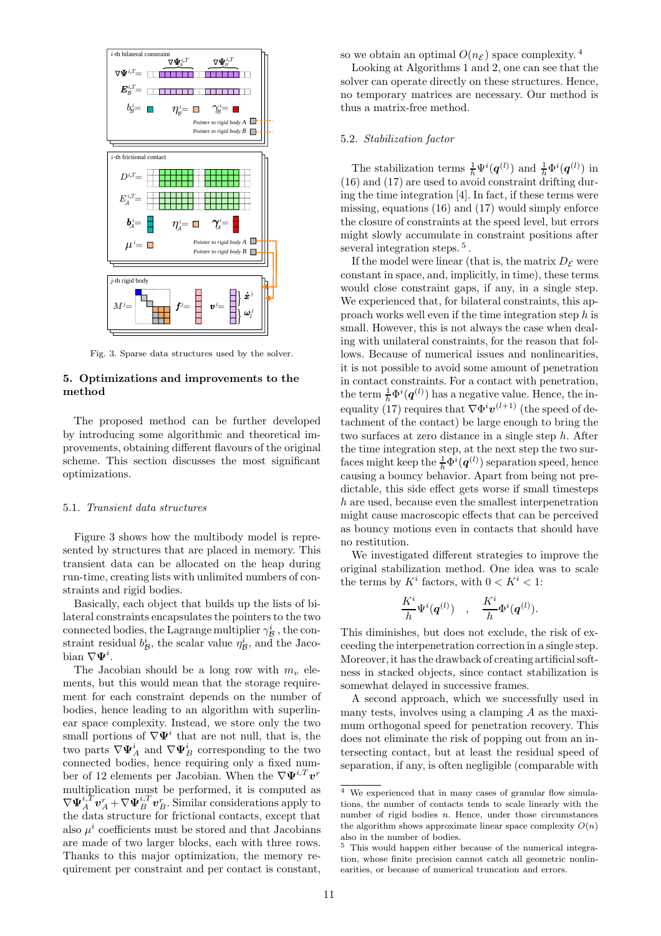

Fig. 3. Sparse data structures used by the solver.

# 5. Optimizations and improvements to the method

The proposed method can be further developed by introducing some algorithmic and theoretical improvements, obtaining different flavours of the original scheme. This section discusses the most significant optimizations.

## 5.1. Transient data structures

Figure 3 shows how the multibody model is represented by structures that are placed in memory. This transient data can be allocated on the heap during run-time, creating lists with unlimited numbers of constraints and rigid bodies.

Basically, each object that builds up the lists of bilateral constraints encapsulates the pointers to the two connected bodies, the Lagrange multiplier  $\gamma^i_{\mathcal{B}}$  , the constraint residual  $b^i_{\mathcal{B}}$ , the scalar value  $\eta^i_{\mathcal{B}}$ , and the Jacobian  $\nabla \Psi^i$ .

The Jacobian should be a long row with  $m_v$  elements, but this would mean that the storage requirement for each constraint depends on the number of bodies, hence leading to an algorithm with superlinear space complexity. Instead, we store only the two small portions of  $\nabla \Psi^i$  that are not null, that is, the two parts  $\nabla \Psi_A^i$  and  $\nabla \Psi_B^i$  corresponding to the two connected bodies, hence requiring only a fixed number of 12 elements per Jacobian. When the  $\nabla \Psi^{i,T} \boldsymbol{v}^r$ multiplication must be performed, it is computed as  $\nabla \Psi_A^{i,T} \boldsymbol{v}_A^r + \nabla \Psi_B^{i,T} \boldsymbol{v}_B^r$ . Similar considerations apply to the data structure for frictional contacts, except that also  $\mu^{i}$  coefficients must be stored and that Jacobians are made of two larger blocks, each with three rows. Thanks to this major optimization, the memory requirement per constraint and per contact is constant,

so we obtain an optimal  $O(n_{\mathcal{E}})$  space complexity. <sup>4</sup>

Looking at Algorithms 1 and 2, one can see that the solver can operate directly on these structures. Hence, no temporary matrices are necessary. Our method is thus a matrix-free method.

## 5.2. Stabilization factor

The stabilization terms  $\frac{1}{h}\Psi^{i}(\boldsymbol{q}^{(l)})$  and  $\frac{1}{h}\Phi^{i}(\boldsymbol{q}^{(l)})$  in (16) and (17) are used to avoid constraint drifting during the time integration [4]. In fact, if these terms were missing, equations (16) and (17) would simply enforce the closure of constraints at the speed level, but errors might slowly accumulate in constraint positions after several integration steps.<sup>5</sup>.

If the model were linear (that is, the matrix  $D_{\mathcal{E}}$  were constant in space, and, implicitly, in time), these terms would close constraint gaps, if any, in a single step. We experienced that, for bilateral constraints, this approach works well even if the time integration step h is small. However, this is not always the case when dealing with unilateral constraints, for the reason that follows. Because of numerical issues and nonlinearities, it is not possible to avoid some amount of penetration in contact constraints. For a contact with penetration, the term  $\frac{1}{h}\Phi^{i}(\boldsymbol{q}^{(l)})$  has a negative value. Hence, the inequality (17) requires that  $\nabla \Phi^i \boldsymbol{v}^{(l+1)}$  (the speed of detachment of the contact) be large enough to bring the two surfaces at zero distance in a single step h. After the time integration step, at the next step the two surfaces might keep the  $\frac{1}{h} \Phi^{i}(\boldsymbol{q}^{(l)})$  separation speed, hence causing a bouncy behavior. Apart from being not predictable, this side effect gets worse if small timesteps h are used, because even the smallest interpenetration might cause macroscopic effects that can be perceived as bouncy motions even in contacts that should have no restitution.

We investigated different strategies to improve the original stabilization method. One idea was to scale the terms by  $K^i$  factors, with  $0 < K^i < 1$ :

$$
\frac{K^i}{h}\Psi^i(\boldsymbol{q}^{(l)})\quad,\quad \frac{K^i}{h}\Phi^i(\boldsymbol{q}^{(l)}).
$$

This diminishes, but does not exclude, the risk of exceeding the interpenetration correction in a single step. Moreover, it has the drawback of creating artificial softness in stacked objects, since contact stabilization is somewhat delayed in successive frames.

A second approach, which we successfully used in many tests, involves using a clamping  $A$  as the maximum orthogonal speed for penetration recovery. This does not eliminate the risk of popping out from an intersecting contact, but at least the residual speed of separation, if any, is often negligible (comparable with

<sup>4</sup> We experienced that in many cases of granular flow simulations, the number of contacts tends to scale linearly with the number of rigid bodies  $n$ . Hence, under those circumstances the algorithm shows approximate linear space complexity  $O(n)$ also in the number of bodies.

 $^5\,$  This would happen either because of the numerical integration, whose finite precision cannot catch all geometric nonlinearities, or because of numerical truncation and errors.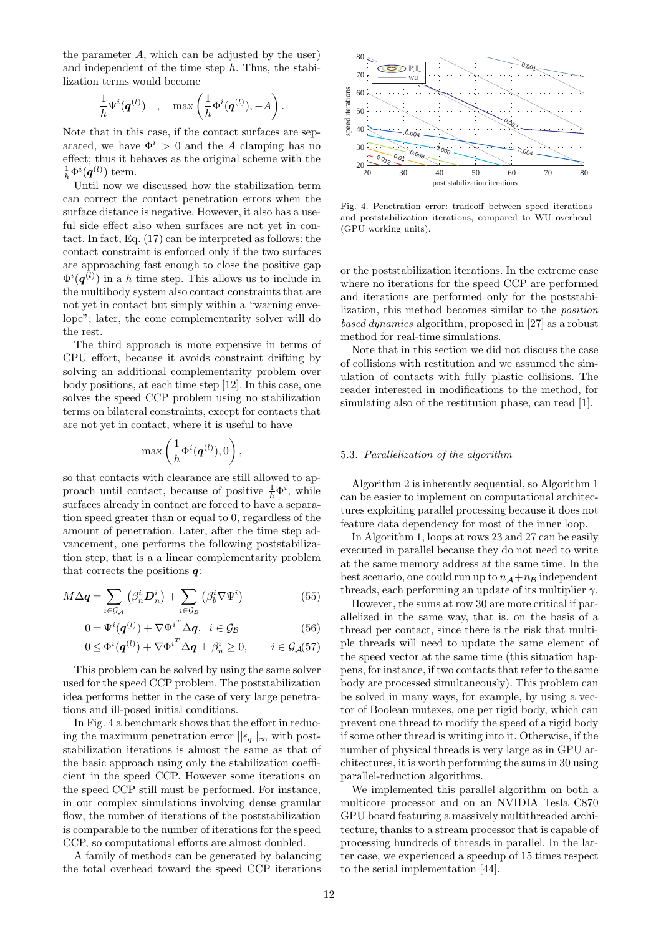the parameter  $A$ , which can be adjusted by the user) and independent of the time step  $h$ . Thus, the stabilization terms would become

$$
\frac{1}{h}\Psi^i(\boldsymbol{q}^{(l)})\quad,\quad\max\left(\frac{1}{h}\Phi^i(\boldsymbol{q}^{(l)}),-A\right).
$$

Note that in this case, if the contact surfaces are separated, we have  $\Phi^i > 0$  and the A clamping has no effect; thus it behaves as the original scheme with the  $\frac{1}{h}\Phi^{i}(\boldsymbol{q}^{(l)})$  term.

Until now we discussed how the stabilization term can correct the contact penetration errors when the surface distance is negative. However, it also has a useful side effect also when surfaces are not yet in contact. In fact, Eq. (17) can be interpreted as follows: the contact constraint is enforced only if the two surfaces are approaching fast enough to close the positive gap  $\Phi^{i}(\boldsymbol{q}^{(l)})$  in a h time step. This allows us to include in the multibody system also contact constraints that are not yet in contact but simply within a "warning envelope"; later, the cone complementarity solver will do the rest.

The third approach is more expensive in terms of CPU effort, because it avoids constraint drifting by solving an additional complementarity problem over body positions, at each time step [12]. In this case, one solves the speed CCP problem using no stabilization terms on bilateral constraints, except for contacts that are not yet in contact, where it is useful to have

$$
\max\left(\frac{1}{h}\Phi^i(\boldsymbol{q}^{(l)}),0\right),
$$

so that contacts with clearance are still allowed to approach until contact, because of positive  $\frac{1}{h}\Phi^i$ , while surfaces already in contact are forced to have a separation speed greater than or equal to 0, regardless of the amount of penetration. Later, after the time step advancement, one performs the following poststabilization step, that is a a linear complementarity problem that corrects the positions  $q$ :

$$
M\Delta q = \sum_{i \in \mathcal{G}_{\mathcal{A}}} \left(\beta_n^i \mathbf{D}_n^i\right) + \sum_{i \in \mathcal{G}_{\mathcal{B}}} \left(\beta_b^i \nabla \Psi^i\right) \tag{55}
$$

$$
0 = \Psi^{i}(\boldsymbol{q}^{(l)}) + \nabla {\Psi^{i}}^{T} \Delta \boldsymbol{q}, \quad i \in \mathcal{G}_{\mathcal{B}}
$$
 (56)

$$
0 \leq \Phi^{i}(\boldsymbol{q}^{(l)}) + \nabla {\Phi^{i}}^{T} \Delta \boldsymbol{q} \perp \beta_{n}^{i} \geq 0, \qquad i \in \mathcal{G}_{\mathcal{A}}(57)
$$

This problem can be solved by using the same solver used for the speed CCP problem. The poststabilization idea performs better in the case of very large penetrations and ill-posed initial conditions.

In Fig. 4 a benchmark shows that the effort in reducing the maximum penetration error  $||\epsilon_q||_{\infty}$  with poststabilization iterations is almost the same as that of the basic approach using only the stabilization coefficient in the speed CCP. However some iterations on the speed CCP still must be performed. For instance, in our complex simulations involving dense granular flow, the number of iterations of the poststabilization is comparable to the number of iterations for the speed CCP, so computational efforts are almost doubled.

A family of methods can be generated by balancing the total overhead toward the speed CCP iterations



Fig. 4. Penetration error: tradeoff between speed iterations and poststabilization iterations, compared to WU overhead (GPU working units).

or the poststabilization iterations. In the extreme case where no iterations for the speed CCP are performed and iterations are performed only for the poststabilization, this method becomes similar to the position based dynamics algorithm, proposed in [27] as a robust method for real-time simulations.

Note that in this section we did not discuss the case of collisions with restitution and we assumed the simulation of contacts with fully plastic collisions. The reader interested in modifications to the method, for simulating also of the restitution phase, can read [1].

## 5.3. Parallelization of the algorithm

Algorithm 2 is inherently sequential, so Algorithm 1 can be easier to implement on computational architectures exploiting parallel processing because it does not feature data dependency for most of the inner loop.

In Algorithm 1, loops at rows 23 and 27 can be easily executed in parallel because they do not need to write at the same memory address at the same time. In the best scenario, one could run up to  $n_A+n_B$  independent threads, each performing an update of its multiplier  $\gamma$ .

However, the sums at row 30 are more critical if parallelized in the same way, that is, on the basis of a thread per contact, since there is the risk that multiple threads will need to update the same element of the speed vector at the same time (this situation happens, for instance, if two contacts that refer to the same body are processed simultaneously). This problem can be solved in many ways, for example, by using a vector of Boolean mutexes, one per rigid body, which can prevent one thread to modify the speed of a rigid body if some other thread is writing into it. Otherwise, if the number of physical threads is very large as in GPU architectures, it is worth performing the sums in 30 using parallel-reduction algorithms.

We implemented this parallel algorithm on both a multicore processor and on an NVIDIA Tesla C870 GPU board featuring a massively multithreaded architecture, thanks to a stream processor that is capable of processing hundreds of threads in parallel. In the latter case, we experienced a speedup of 15 times respect to the serial implementation [44].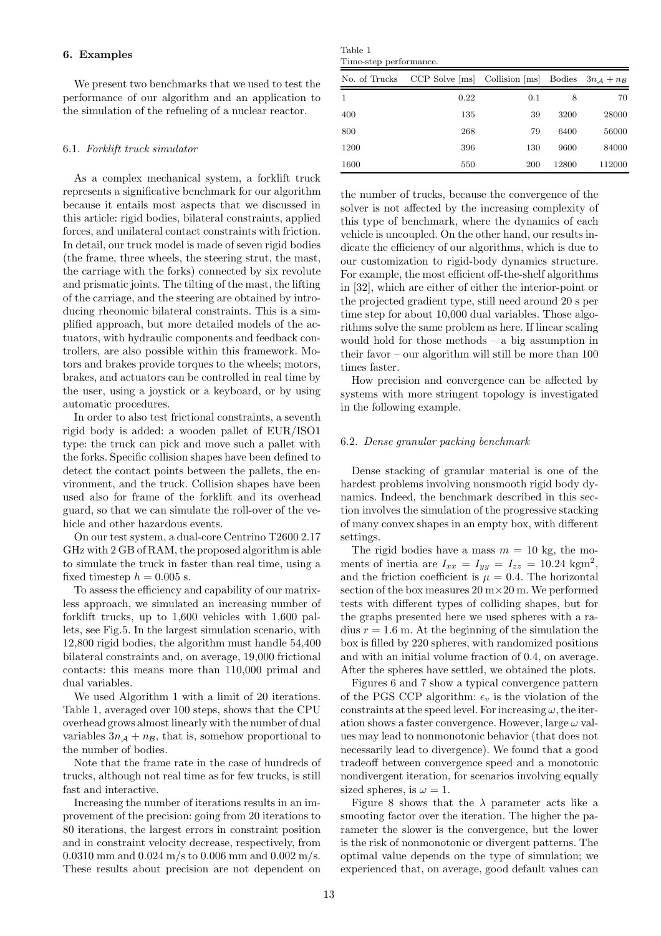#### 6. Examples

We present two benchmarks that we used to test the performance of our algorithm and an application to the simulation of the refueling of a nuclear reactor.

#### 6.1. Forklift truck simulator

As a complex mechanical system, a forklift truck represents a significative benchmark for our algorithm because it entails most aspects that we discussed in this article: rigid bodies, bilateral constraints, applied forces, and unilateral contact constraints with friction. In detail, our truck model is made of seven rigid bodies (the frame, three wheels, the steering strut, the mast, the carriage with the forks) connected by six revolute and prismatic joints. The tilting of the mast, the lifting of the carriage, and the steering are obtained by introducing rheonomic bilateral constraints. This is a simplified approach, but more detailed models of the actuators, with hydraulic components and feedback controllers, are also possible within this framework. Motors and brakes provide torques to the wheels; motors, brakes, and actuators can be controlled in real time by the user, using a joystick or a keyboard, or by using automatic procedures.

In order to also test frictional constraints, a seventh rigid body is added: a wooden pallet of EUR/ISO1 type: the truck can pick and move such a pallet with the forks. Specific collision shapes have been defined to detect the contact points between the pallets, the environment, and the truck. Collision shapes have been used also for frame of the forklift and its overhead guard, so that we can simulate the roll-over of the vehicle and other hazardous events.

On our test system, a dual-core Centrino T2600 2.17 GHz with 2 GB of RAM, the proposed algorithm is able to simulate the truck in faster than real time, using a fixed timestep  $h = 0.005$  s.

To assess the efficiency and capability of our matrixless approach, we simulated an increasing number of forklift trucks, up to 1,600 vehicles with 1,600 pallets, see Fig.5. In the largest simulation scenario, with 12,800 rigid bodies, the algorithm must handle 54,400 bilateral constraints and, on average, 19,000 frictional contacts: this means more than 110,000 primal and dual variables.

We used Algorithm 1 with a limit of 20 iterations. Table 1, averaged over 100 steps, shows that the CPU overhead grows almost linearly with the number of dual variables  $3n_A + n_B$ , that is, somehow proportional to the number of bodies.

Note that the frame rate in the case of hundreds of trucks, although not real time as for few trucks, is still fast and interactive.

Increasing the number of iterations results in an improvement of the precision: going from 20 iterations to 80 iterations, the largest errors in constraint position and in constraint velocity decrease, respectively, from 0.0310 mm and 0.024 m/s to 0.006 mm and 0.002 m/s. These results about precision are not dependent on

Table 1 Time-step performance.

| $\mathbf{1}$  |                                                   |     |       |        |
|---------------|---------------------------------------------------|-----|-------|--------|
| No. of Trucks | CCP Solve [ms] Collision [ms] Bodies $3n_A + n_B$ |     |       |        |
|               | 0.22                                              | 0.1 | 8     | 70     |
| 400           | 135                                               | 39  | 3200  | 28000  |
| 800           | 268                                               | 79  | 6400  | 56000  |
| 1200          | 396                                               | 130 | 9600  | 84000  |
| 1600          | 550                                               | 200 | 12800 | 112000 |

the number of trucks, because the convergence of the solver is not affected by the increasing complexity of this type of benchmark, where the dynamics of each vehicle is uncoupled. On the other hand, our results indicate the efficiency of our algorithms, which is due to our customization to rigid-body dynamics structure. For example, the most efficient off-the-shelf algorithms in [32], which are either of either the interior-point or the projected gradient type, still need around 20 s per time step for about 10,000 dual variables. Those algorithms solve the same problem as here. If linear scaling would hold for those methods – a big assumption in their favor – our algorithm will still be more than 100 times faster.

How precision and convergence can be affected by systems with more stringent topology is investigated in the following example.

#### 6.2. Dense granular packing benchmark

Dense stacking of granular material is one of the hardest problems involving nonsmooth rigid body dynamics. Indeed, the benchmark described in this section involves the simulation of the progressive stacking of many convex shapes in an empty box, with different settings.

The rigid bodies have a mass  $m = 10$  kg, the moments of inertia are  $I_{xx} = I_{yy} = I_{zz} = 10.24$  kgm<sup>2</sup>, and the friction coefficient is  $\mu = 0.4$ . The horizontal section of the box measures 20 m×20 m. We performed tests with different types of colliding shapes, but for the graphs presented here we used spheres with a radius  $r = 1.6$  m. At the beginning of the simulation the box is filled by 220 spheres, with randomized positions and with an initial volume fraction of 0.4, on average. After the spheres have settled, we obtained the plots.

Figures 6 and 7 show a typical convergence pattern of the PGS CCP algorithm:  $\epsilon_v$  is the violation of the constraints at the speed level. For increasing  $\omega$ , the iteration shows a faster convergence. However, large  $\omega$  values may lead to nonmonotonic behavior (that does not necessarily lead to divergence). We found that a good tradeoff between convergence speed and a monotonic nondivergent iteration, for scenarios involving equally sized spheres, is  $\omega = 1$ .

Figure 8 shows that the  $\lambda$  parameter acts like a smooting factor over the iteration. The higher the parameter the slower is the convergence, but the lower is the risk of nonmonotonic or divergent patterns. The optimal value depends on the type of simulation; we experienced that, on average, good default values can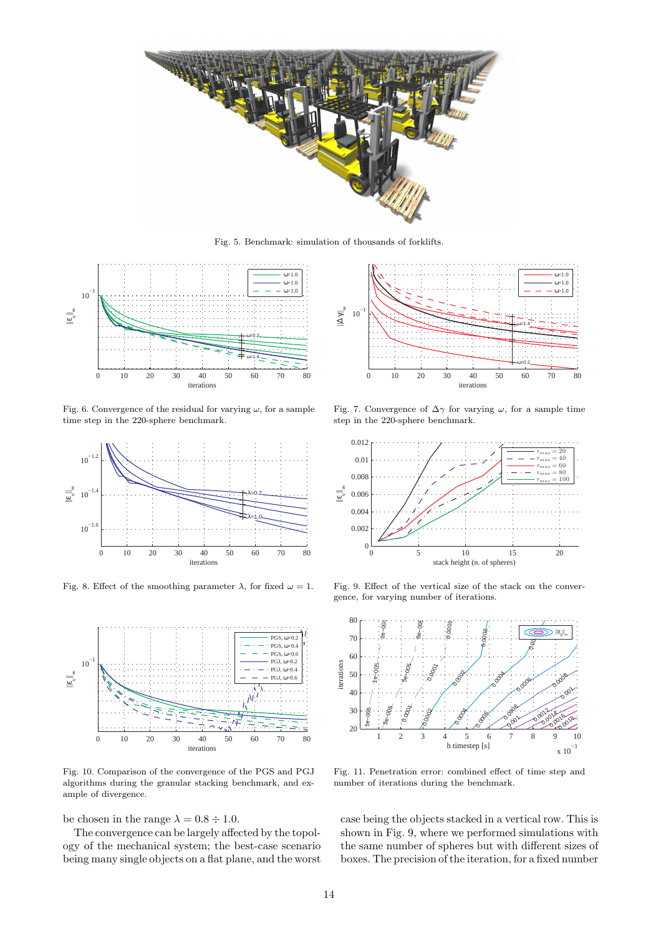

Fig. 5. Benchmark: simulation of thousands of forklifts.



Fig. 6. Convergence of the residual for varying  $\omega$ , for a sample time step in the 220-sphere benchmark.



Fig. 8. Effect of the smoothing parameter  $\lambda$ , for fixed  $\omega = 1$ .



Fig. 10. Comparison of the convergence of the PGS and PGJ algorithms during the granular stacking benchmark, and example of divergence.

be chosen in the range  $\lambda = 0.8 \div 1.0$ .

The convergence can be largely affected by the topology of the mechanical system; the best-case scenario being many single objects on a flat plane, and the worst



Fig. 7. Convergence of  $\Delta\gamma$  for varying  $\omega$ , for a sample time step in the 220-sphere benchmark.



Fig. 9. Effect of the vertical size of the stack on the convergence, for varying number of iterations.



Fig. 11. Penetration error: combined effect of time step and number of iterations during the benchmark.

case being the objects stacked in a vertical row. This is shown in Fig. 9, where we performed simulations with the same number of spheres but with different sizes of boxes. The precision of the iteration, for a fixed number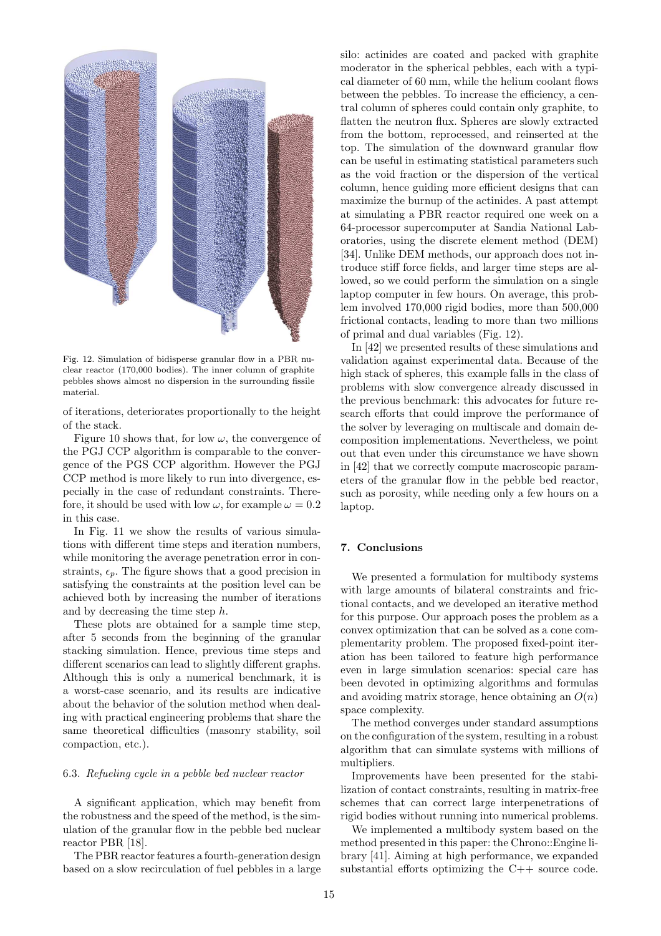

Fig. 12. Simulation of bidisperse granular flow in a PBR nuclear reactor (170,000 bodies). The inner column of graphite pebbles shows almost no dispersion in the surrounding fissile material.

of iterations, deteriorates proportionally to the height of the stack.

Figure 10 shows that, for low  $\omega$ , the convergence of the PGJ CCP algorithm is comparable to the convergence of the PGS CCP algorithm. However the PGJ CCP method is more likely to run into divergence, especially in the case of redundant constraints. Therefore, it should be used with low  $\omega$ , for example  $\omega = 0.2$ in this case.

In Fig. 11 we show the results of various simulations with different time steps and iteration numbers, while monitoring the average penetration error in constraints,  $\epsilon_p$ . The figure shows that a good precision in satisfying the constraints at the position level can be achieved both by increasing the number of iterations and by decreasing the time step  $h$ .

These plots are obtained for a sample time step, after 5 seconds from the beginning of the granular stacking simulation. Hence, previous time steps and different scenarios can lead to slightly different graphs. Although this is only a numerical benchmark, it is a worst-case scenario, and its results are indicative about the behavior of the solution method when dealing with practical engineering problems that share the same theoretical difficulties (masonry stability, soil compaction, etc.).

#### 6.3. Refueling cycle in a pebble bed nuclear reactor

A significant application, which may benefit from the robustness and the speed of the method, is the simulation of the granular flow in the pebble bed nuclear reactor PBR [18].

The PBR reactor features a fourth-generation design based on a slow recirculation of fuel pebbles in a large silo: actinides are coated and packed with graphite moderator in the spherical pebbles, each with a typical diameter of 60 mm, while the helium coolant flows between the pebbles. To increase the efficiency, a central column of spheres could contain only graphite, to flatten the neutron flux. Spheres are slowly extracted from the bottom, reprocessed, and reinserted at the top. The simulation of the downward granular flow can be useful in estimating statistical parameters such as the void fraction or the dispersion of the vertical column, hence guiding more efficient designs that can maximize the burnup of the actinides. A past attempt at simulating a PBR reactor required one week on a 64-processor supercomputer at Sandia National Laboratories, using the discrete element method (DEM) [34]. Unlike DEM methods, our approach does not introduce stiff force fields, and larger time steps are allowed, so we could perform the simulation on a single laptop computer in few hours. On average, this problem involved 170,000 rigid bodies, more than 500,000 frictional contacts, leading to more than two millions of primal and dual variables (Fig. 12).

In [42] we presented results of these simulations and validation against experimental data. Because of the high stack of spheres, this example falls in the class of problems with slow convergence already discussed in the previous benchmark: this advocates for future research efforts that could improve the performance of the solver by leveraging on multiscale and domain decomposition implementations. Nevertheless, we point out that even under this circumstance we have shown in [42] that we correctly compute macroscopic parameters of the granular flow in the pebble bed reactor, such as porosity, while needing only a few hours on a laptop.

# 7. Conclusions

We presented a formulation for multibody systems with large amounts of bilateral constraints and frictional contacts, and we developed an iterative method for this purpose. Our approach poses the problem as a convex optimization that can be solved as a cone complementarity problem. The proposed fixed-point iteration has been tailored to feature high performance even in large simulation scenarios: special care has been devoted in optimizing algorithms and formulas and avoiding matrix storage, hence obtaining an  $O(n)$ space complexity.

The method converges under standard assumptions on the configuration of the system, resulting in a robust algorithm that can simulate systems with millions of multipliers.

Improvements have been presented for the stabilization of contact constraints, resulting in matrix-free schemes that can correct large interpenetrations of rigid bodies without running into numerical problems.

We implemented a multibody system based on the method presented in this paper: the Chrono::Engine library [41]. Aiming at high performance, we expanded substantial efforts optimizing the C++ source code.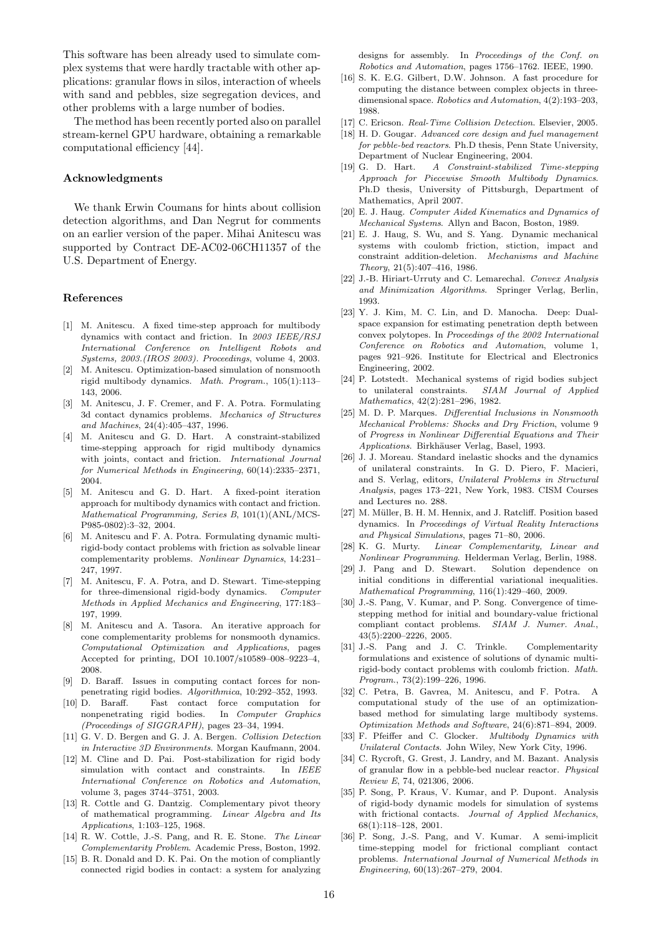This software has been already used to simulate complex systems that were hardly tractable with other applications: granular flows in silos, interaction of wheels with sand and pebbles, size segregation devices, and other problems with a large number of bodies.

The method has been recently ported also on parallel stream-kernel GPU hardware, obtaining a remarkable computational efficiency [44].

## Acknowledgments

We thank Erwin Coumans for hints about collision detection algorithms, and Dan Negrut for comments on an earlier version of the paper. Mihai Anitescu was supported by Contract DE-AC02-06CH11357 of the U.S. Department of Energy.

#### References

- [1] M. Anitescu. A fixed time-step approach for multibody dynamics with contact and friction. In *2003 IEEE/RSJ International Conference on Intelligent Robots and Systems, 2003.(IROS 2003). Proceedings*, volume 4, 2003.
- [2] M. Anitescu. Optimization-based simulation of nonsmooth rigid multibody dynamics. *Math. Program.*, 105(1):113– 143, 2006.
- [3] M. Anitescu, J. F. Cremer, and F. A. Potra. Formulating 3d contact dynamics problems. *Mechanics of Structures and Machines*, 24(4):405–437, 1996.
- [4] M. Anitescu and G. D. Hart. A constraint-stabilized time-stepping approach for rigid multibody dynamics with joints, contact and friction. *International Journal for Numerical Methods in Engineering*, 60(14):2335–2371, 2004.
- [5] M. Anitescu and G. D. Hart. A fixed-point iteration approach for multibody dynamics with contact and friction. *Mathematical Programming, Series B*, 101(1)(ANL/MCS-P985-0802):3–32, 2004.
- [6] M. Anitescu and F. A. Potra. Formulating dynamic multirigid-body contact problems with friction as solvable linear complementarity problems. *Nonlinear Dynamics*, 14:231– 247, 1997.
- [7] M. Anitescu, F. A. Potra, and D. Stewart. Time-stepping for three-dimensional rigid-body dynamics. *Computer Methods in Applied Mechanics and Engineering*, 177:183– 197, 1999.
- [8] M. Anitescu and A. Tasora. An iterative approach for cone complementarity problems for nonsmooth dynamics. *Computational Optimization and Applications*, pages Accepted for printing, DOI 10.1007/s10589–008–9223–4, 2008.
- [9] D. Baraff. Issues in computing contact forces for nonpenetrating rigid bodies. *Algorithmica*, 10:292–352, 1993.
- [10] D. Baraff. Fast contact force computation for nonpenetrating rigid bodies. In *Computer Graphics (Proceedings of SIGGRAPH)*, pages 23–34, 1994.
- [11] G. V. D. Bergen and G. J. A. Bergen. *Collision Detection in Interactive 3D Environments*. Morgan Kaufmann, 2004.
- [12] M. Cline and D. Pai. Post-stabilization for rigid body simulation with contact and constraints. In *IEEE International Conference on Robotics and Automation*, volume 3, pages 3744–3751, 2003.
- [13] R. Cottle and G. Dantzig. Complementary pivot theory of mathematical programming. *Linear Algebra and Its Applications*, 1:103–125, 1968.
- [14] R. W. Cottle, J.-S. Pang, and R. E. Stone. *The Linear Complementarity Problem*. Academic Press, Boston, 1992.
- [15] B. R. Donald and D. K. Pai. On the motion of compliantly connected rigid bodies in contact: a system for analyzing

designs for assembly. In *Proceedings of the Conf. on Robotics and Automation*, pages 1756–1762. IEEE, 1990.

- [16] S. K. E.G. Gilbert, D.W. Johnson. A fast procedure for computing the distance between complex objects in threedimensional space. *Robotics and Automation*, 4(2):193–203, 1988.
- [17] C. Ericson. *Real-Time Collision Detection*. Elsevier, 2005.
- [18] H. D. Gougar. *Advanced core design and fuel management for pebble-bed reactors*. Ph.D thesis, Penn State University, Department of Nuclear Engineering, 2004.
- [19] G. D. Hart. *A Constraint-stabilized Time-stepping Approach for Piecewise Smooth Multibody Dynamics*. Ph.D thesis, University of Pittsburgh, Department of Mathematics, April 2007.
- [20] E. J. Haug. *Computer Aided Kinematics and Dynamics of Mechanical Systems*. Allyn and Bacon, Boston, 1989.
- [21] E. J. Haug, S. Wu, and S. Yang. Dynamic mechanical systems with coulomb friction, stiction, impact and constraint addition-deletion. *Mechanisms and Machine Theory*, 21(5):407–416, 1986.
- [22] J.-B. Hiriart-Urruty and C. Lemarechal. *Convex Analysis and Minimization Algorithms*. Springer Verlag, Berlin, 1993.
- [23] Y. J. Kim, M. C. Lin, and D. Manocha. Deep: Dualspace expansion for estimating penetration depth between convex polytopes. In *Proceedings of the 2002 International Conference on Robotics and Automation*, volume 1, pages 921–926. Institute for Electrical and Electronics Engineering, 2002.
- [24] P. Lotstedt. Mechanical systems of rigid bodies subject to unilateral constraints. *SIAM Journal of Applied Mathematics*, 42(2):281–296, 1982.
- [25] M. D. P. Marques. *Differential Inclusions in Nonsmooth Mechanical Problems: Shocks and Dry Friction*, volume 9 of *Progress in Nonlinear Differential Equations and Their Applications*. Birkh¨auser Verlag, Basel, 1993.
- [26] J. J. Moreau. Standard inelastic shocks and the dynamics of unilateral constraints. In G. D. Piero, F. Macieri, and S. Verlag, editors, *Unilateral Problems in Structural Analysis*, pages 173–221, New York, 1983. CISM Courses and Lectures no. 288.
- [27] M. Müller, B. H. M. Hennix, and J. Ratcliff. Position based dynamics. In *Proceedings of Virtual Reality Interactions and Physical Simulations*, pages 71–80, 2006.
- [28] K. G. Murty. *Linear Complementarity, Linear and Nonlinear Programming*. Helderman Verlag, Berlin, 1988.
- [29] J. Pang and D. Stewart. Solution dependence on initial conditions in differential variational inequalities. *Mathematical Programming*, 116(1):429–460, 2009.
- [30] J.-S. Pang, V. Kumar, and P. Song. Convergence of timestepping method for initial and boundary-value frictional compliant contact problems. *SIAM J. Numer. Anal.*, 43(5):2200–2226, 2005.
- [31] J.-S. Pang and J. C. Trinkle. Complementarity formulations and existence of solutions of dynamic multirigid-body contact problems with coulomb friction. *Math. Program.*, 73(2):199–226, 1996.
- [32] C. Petra, B. Gavrea, M. Anitescu, and F. Potra. A computational study of the use of an optimizationbased method for simulating large multibody systems. *Optimization Methods and Software*, 24(6):871–894, 2009.
- [33] F. Pfeiffer and C. Glocker. *Multibody Dynamics with Unilateral Contacts*. John Wiley, New York City, 1996.
- [34] C. Rycroft, G. Grest, J. Landry, and M. Bazant. Analysis of granular flow in a pebble-bed nuclear reactor. *Physical Review E*, 74, 021306, 2006.
- [35] P. Song, P. Kraus, V. Kumar, and P. Dupont. Analysis of rigid-body dynamic models for simulation of systems with frictional contacts. *Journal of Applied Mechanics*, 68(1):118–128, 2001.
- [36] P. Song, J.-S. Pang, and V. Kumar. A semi-implicit time-stepping model for frictional compliant contact problems. *International Journal of Numerical Methods in Engineering*, 60(13):267–279, 2004.